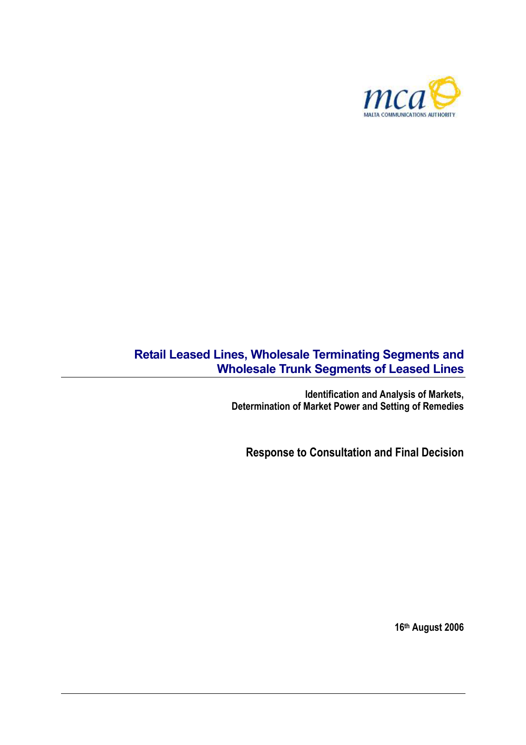

# **Retail Leased Lines, Wholesale Terminating Segments and Wholesale Trunk Segments of Leased Lines**

**Identification and Analysis of Markets, Determination of Market Power and Setting of Remedies** 

**Response to Consultation and Final Decision** 

**16th August 2006**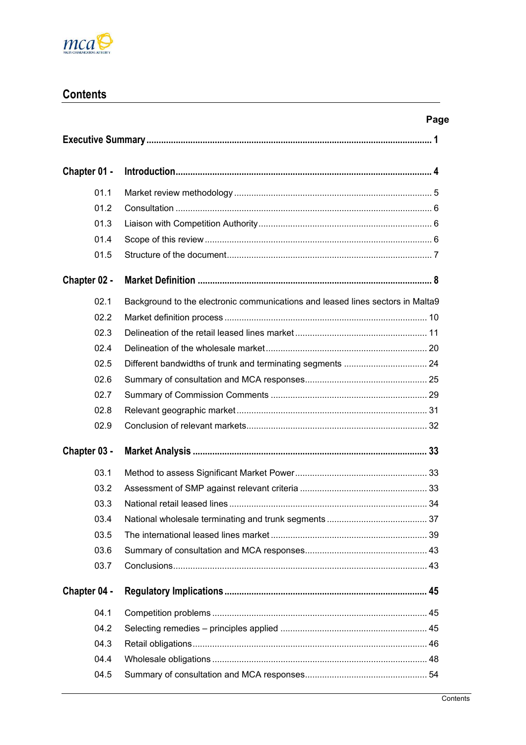

# **Contents**

| Chapter 01 - |                                                                                |  |  |  |
|--------------|--------------------------------------------------------------------------------|--|--|--|
| 01.1         |                                                                                |  |  |  |
| 01.2         |                                                                                |  |  |  |
| 01.3         |                                                                                |  |  |  |
| 01.4         |                                                                                |  |  |  |
| 01.5         |                                                                                |  |  |  |
| Chapter 02 - |                                                                                |  |  |  |
| 02.1         | Background to the electronic communications and leased lines sectors in Malta9 |  |  |  |
| 02.2         |                                                                                |  |  |  |
| 02.3         |                                                                                |  |  |  |
| 02.4         |                                                                                |  |  |  |
| 02.5         |                                                                                |  |  |  |
| 02.6         |                                                                                |  |  |  |
| 02.7         |                                                                                |  |  |  |
| 02.8         |                                                                                |  |  |  |
| 02.9         |                                                                                |  |  |  |
| Chapter 03 - |                                                                                |  |  |  |
| 03.1         |                                                                                |  |  |  |
| 03.2         |                                                                                |  |  |  |
| 03.3         |                                                                                |  |  |  |
| 03.4         |                                                                                |  |  |  |
| 03.5         |                                                                                |  |  |  |
| 03.6         |                                                                                |  |  |  |
| 03.7         |                                                                                |  |  |  |
| Chapter 04 - |                                                                                |  |  |  |
| 04.1         |                                                                                |  |  |  |
| 04.2         |                                                                                |  |  |  |
| 04.3         |                                                                                |  |  |  |
| 04.4         |                                                                                |  |  |  |
| 04.5         |                                                                                |  |  |  |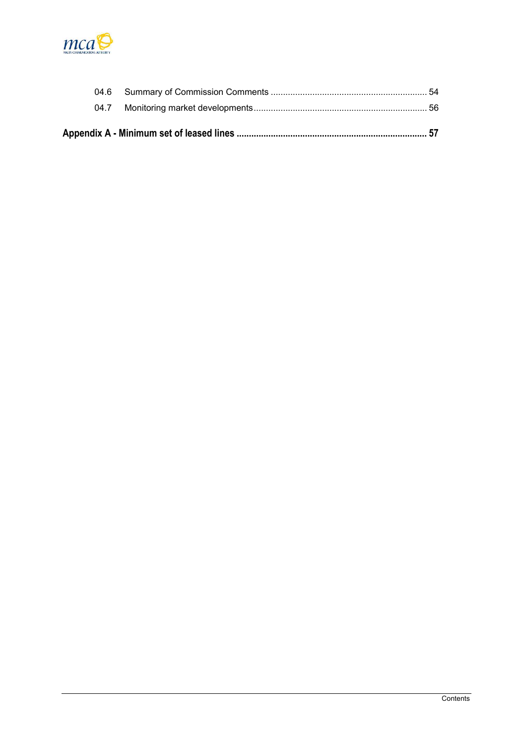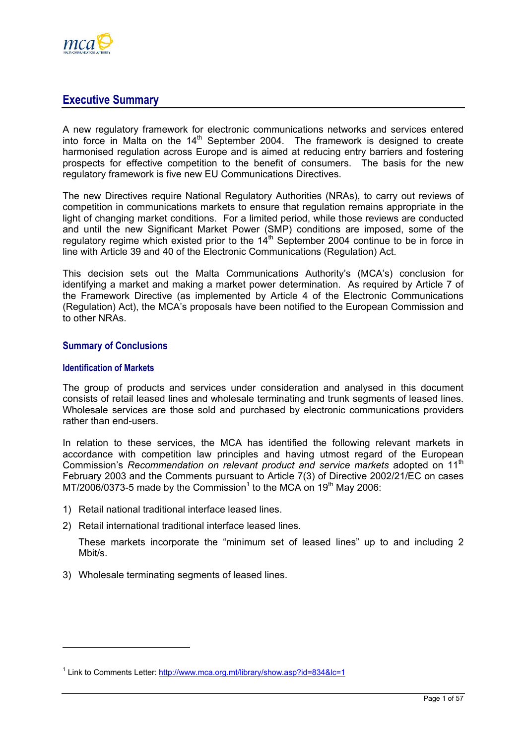<span id="page-3-0"></span>

## **Executive Summary**

A new regulatory framework for electronic communications networks and services entered into force in Malta on the  $14<sup>th</sup>$  September 2004. The framework is designed to create harmonised regulation across Europe and is aimed at reducing entry barriers and fostering prospects for effective competition to the benefit of consumers. The basis for the new regulatory framework is five new EU Communications Directives.

The new Directives require National Regulatory Authorities (NRAs), to carry out reviews of competition in communications markets to ensure that regulation remains appropriate in the light of changing market conditions. For a limited period, while those reviews are conducted and until the new Significant Market Power (SMP) conditions are imposed, some of the regulatory regime which existed prior to the  $14<sup>th</sup>$  September 2004 continue to be in force in line with Article 39 and 40 of the Electronic Communications (Regulation) Act.

This decision sets out the Malta Communications Authority's (MCA's) conclusion for identifying a market and making a market power determination. As required by Article 7 of the Framework Directive (as implemented by Article 4 of the Electronic Communications (Regulation) Act), the MCA's proposals have been notified to the European Commission and to other NRAs.

## **Summary of Conclusions**

#### **Identification of Markets**

The group of products and services under consideration and analysed in this document consists of retail leased lines and wholesale terminating and trunk segments of leased lines. Wholesale services are those sold and purchased by electronic communications providers rather than end-users.

In relation to these services, the MCA has identified the following relevant markets in accordance with competition law principles and having utmost regard of the European Commission's *Recommendation on relevant product and service markets* adopted on 11th February 2003 and the Comments pursuant to Article 7(3) of Directive 2002/21/EC on cases MT/2006/0373-5made by the Commission<sup>1</sup> to the MCA on 19<sup>th</sup> May 2006:

- 1) Retail national traditional interface leased lines.
- 2) Retail international traditional interface leased lines.

These markets incorporate the "minimum set of leased lines" up to and including 2 Mbit/s.

3) Wholesale terminating segments of leased lines.

<span id="page-3-1"></span><sup>&</sup>lt;sup>1</sup> Link to Comments Letter: http://www.mca.org.mt/library/show.asp?id=834&lc=1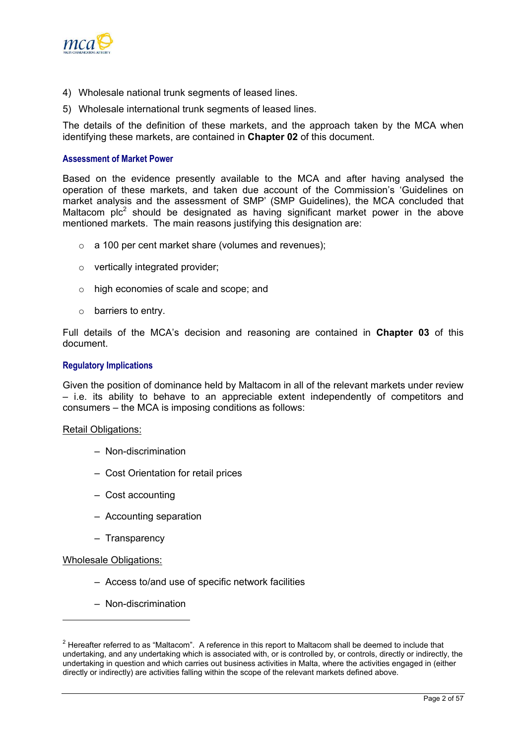

- 4) Wholesale national trunk segments of leased lines.
- 5) Wholesale international trunk segments of leased lines.

The details of the definition of these markets, and the approach taken by the MCA when identifying these markets, are contained in **Chapter 02** of this document.

#### **Assessment of Market Power**

Based on the evidence presently available to the MCA and after having analysed the operation of these markets, and taken due account of the Commission's 'Guidelines on market analysis and the assessment of SMP' (SMP Guidelines), the MCA concluded that Maltacom  $pic^2$  $pic^2$  should be designated as having significant market power in the above mentioned markets. The main reasons justifying this designation are:

- o a 100 per cent market share (volumes and revenues);
- o vertically integrated provider;
- o high economies of scale and scope; and
- $\circ$  barriers to entry.

Full details of the MCA's decision and reasoning are contained in **Chapter 03** of this document.

#### **Regulatory Implications**

Given the position of dominance held by Maltacom in all of the relevant markets under review – i.e. its ability to behave to an appreciable extent independently of competitors and consumers – the MCA is imposing conditions as follows:

#### Retail Obligations:

- Non-discrimination
- Cost Orientation for retail prices
- Cost accounting
- Accounting separation
- Transparency

#### Wholesale Obligations:

- Access to/and use of specific network facilities
- Non-discrimination

<span id="page-4-0"></span> $2$  Hereafter referred to as "Maltacom". A reference in this report to Maltacom shall be deemed to include that undertaking, and any undertaking which is associated with, or is controlled by, or controls, directly or indirectly, the undertaking in question and which carries out business activities in Malta, where the activities engaged in (either directly or indirectly) are activities falling within the scope of the relevant markets defined above.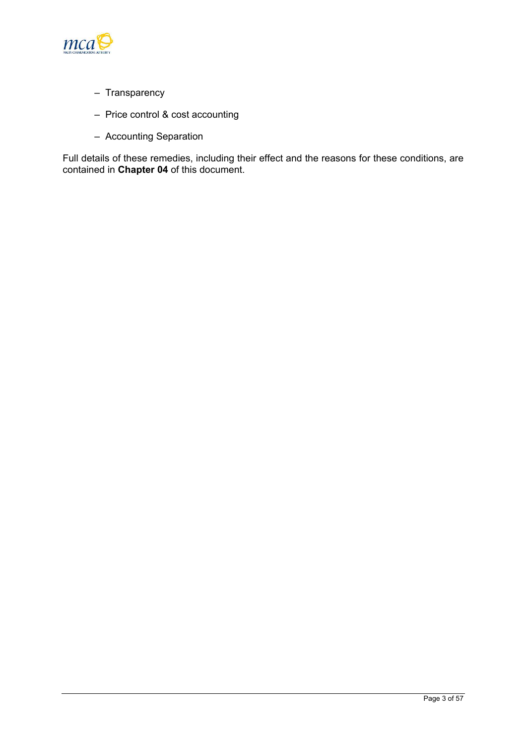

- Transparency
- Price control & cost accounting
- Accounting Separation

Full details of these remedies, including their effect and the reasons for these conditions, are contained in **Chapter 04** of this document.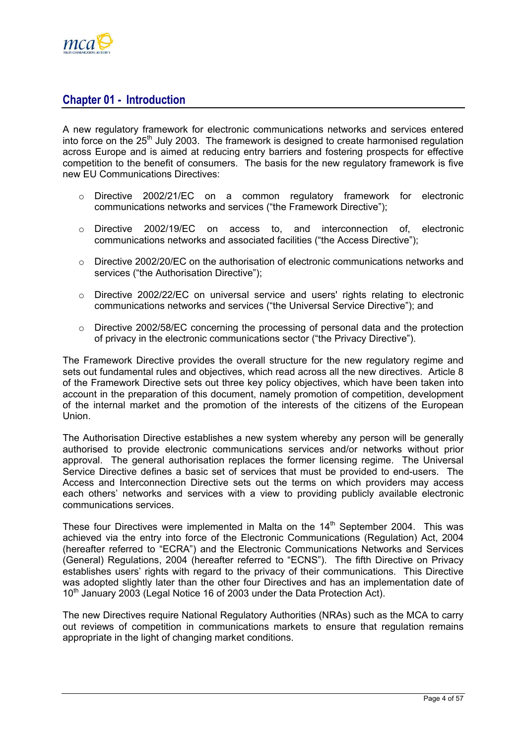<span id="page-6-0"></span>

## **Chapter 01 - Introduction**

A new regulatory framework for electronic communications networks and services entered into force on the  $25<sup>th</sup>$  July 2003. The framework is designed to create harmonised regulation across Europe and is aimed at reducing entry barriers and fostering prospects for effective competition to the benefit of consumers. The basis for the new regulatory framework is five new EU Communications Directives:

- o Directive 2002/21/EC on a common regulatory framework for electronic communications networks and services ("the Framework Directive");
- o Directive 2002/19/EC on access to, and interconnection of, electronic communications networks and associated facilities ("the Access Directive");
- $\circ$  Directive 2002/20/EC on the authorisation of electronic communications networks and services ("the Authorisation Directive");
- o Directive 2002/22/EC on universal service and users' rights relating to electronic communications networks and services ("the Universal Service Directive"); and
- $\circ$  Directive 2002/58/EC concerning the processing of personal data and the protection of privacy in the electronic communications sector ("the Privacy Directive").

The Framework Directive provides the overall structure for the new regulatory regime and sets out fundamental rules and objectives, which read across all the new directives. Article 8 of the Framework Directive sets out three key policy objectives, which have been taken into account in the preparation of this document, namely promotion of competition, development of the internal market and the promotion of the interests of the citizens of the European Union.

The Authorisation Directive establishes a new system whereby any person will be generally authorised to provide electronic communications services and/or networks without prior approval. The general authorisation replaces the former licensing regime. The Universal Service Directive defines a basic set of services that must be provided to end-users. The Access and Interconnection Directive sets out the terms on which providers may access each others' networks and services with a view to providing publicly available electronic communications services.

These four Directives were implemented in Malta on the  $14<sup>th</sup>$  September 2004. This was achieved via the entry into force of the Electronic Communications (Regulation) Act, 2004 (hereafter referred to "ECRA") and the Electronic Communications Networks and Services (General) Regulations, 2004 (hereafter referred to "ECNS"). The fifth Directive on Privacy establishes users' rights with regard to the privacy of their communications. This Directive was adopted slightly later than the other four Directives and has an implementation date of 10<sup>th</sup> January 2003 (Legal Notice 16 of 2003 under the Data Protection Act).

The new Directives require National Regulatory Authorities (NRAs) such as the MCA to carry out reviews of competition in communications markets to ensure that regulation remains appropriate in the light of changing market conditions.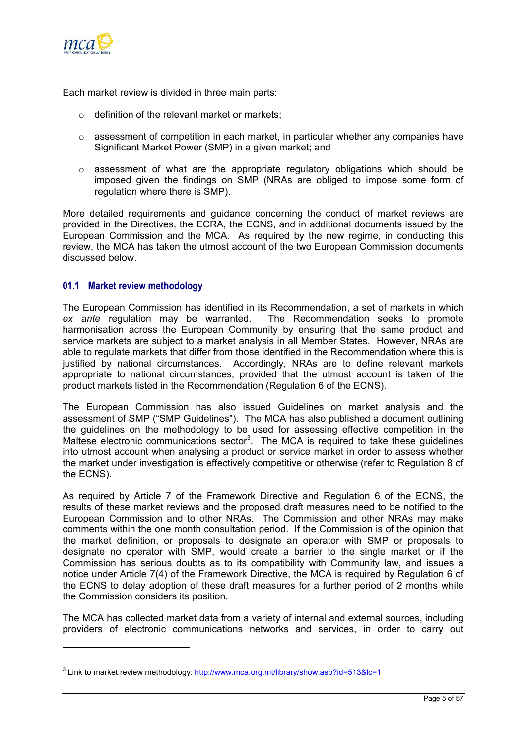<span id="page-7-0"></span>

Each market review is divided in three main parts:

- $\circ$  definition of the relevant market or markets;
- $\circ$  assessment of competition in each market, in particular whether any companies have Significant Market Power (SMP) in a given market; and
- o assessment of what are the appropriate regulatory obligations which should be imposed given the findings on SMP (NRAs are obliged to impose some form of regulation where there is SMP).

More detailed requirements and guidance concerning the conduct of market reviews are provided in the Directives, the ECRA, the ECNS, and in additional documents issued by the European Commission and the MCA. As required by the new regime, in conducting this review, the MCA has taken the utmost account of the two European Commission documents discussed below.

## **01.1 Market review methodology**

The European Commission has identified in its Recommendation, a set of markets in which *ex ante* regulation may be warranted. The Recommendation seeks to promote harmonisation across the European Community by ensuring that the same product and service markets are subject to a market analysis in all Member States. However, NRAs are able to regulate markets that differ from those identified in the Recommendation where this is justified by national circumstances. Accordingly, NRAs are to define relevant markets appropriate to national circumstances, provided that the utmost account is taken of the product markets listed in the Recommendation (Regulation 6 of the ECNS).

The European Commission has also issued Guidelines on market analysis and the assessment of SMP ("SMP Guidelines"). The MCA has also published a document outlining the guidelines on the methodology to be used for assessing effective competition in the Maltese electronic communications sector<sup>3</sup>[.](#page-7-1) The MCA is required to take these guidelines into utmost account when analysing a product or service market in order to assess whether the market under investigation is effectively competitive or otherwise (refer to Regulation 8 of the ECNS).

As required by Article 7 of the Framework Directive and Regulation 6 of the ECNS, the results of these market reviews and the proposed draft measures need to be notified to the European Commission and to other NRAs. The Commission and other NRAs may make comments within the one month consultation period. If the Commission is of the opinion that the market definition, or proposals to designate an operator with SMP or proposals to designate no operator with SMP, would create a barrier to the single market or if the Commission has serious doubts as to its compatibility with Community law, and issues a notice under Article 7(4) of the Framework Directive, the MCA is required by Regulation 6 of the ECNS to delay adoption of these draft measures for a further period of 2 months while the Commission considers its position.

The MCA has collected market data from a variety of internal and external sources, including providers of electronic communications networks and services, in order to carry out

<span id="page-7-1"></span><sup>&</sup>lt;sup>3</sup> Link to market review methodology:<http://www.mca.org.mt/library/show.asp?id=513&lc=1>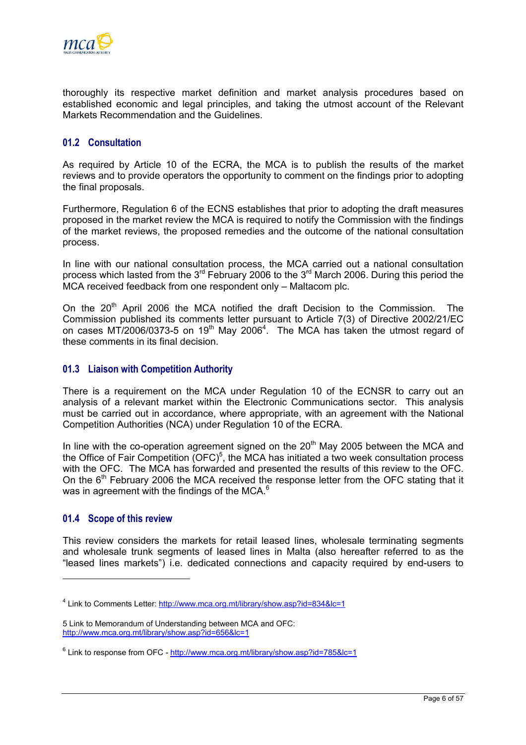<span id="page-8-0"></span>

thoroughly its respective market definition and market analysis procedures based on established economic and legal principles, and taking the utmost account of the Relevant Markets Recommendation and the Guidelines.

## **01.2 Consultation**

As required by Article 10 of the ECRA, the MCA is to publish the results of the market reviews and to provide operators the opportunity to comment on the findings prior to adopting the final proposals.

Furthermore, Regulation 6 of the ECNS establishes that prior to adopting the draft measures proposed in the market review the MCA is required to notify the Commission with the findings of the market reviews, the proposed remedies and the outcome of the national consultation process.

In line with our national consultation process, the MCA carried out a national consultation process which lasted from the  $3<sup>rd</sup>$  February 2006 to the  $3<sup>rd</sup>$  March 2006. During this period the MCA received feedback from one respondent only – Maltacom plc.

On the 20<sup>th</sup> April 2006 the MCA notified the draft Decision to the Commission. The Commission published its comments letter pursuant to Article 7(3) of Directive 2002/21/EC on cases MT/2006/0373-5 on 19<sup>th</sup> May 2006<sup>[4](#page-8-1)</sup>. The MCA has taken the utmost regard of these comments in its final decision.

## **01.3 Liaison with Competition Authority**

There is a requirement on the MCA under Regulation 10 of the ECNSR to carry out an analysis of a relevant market within the Electronic Communications sector. This analysis must be carried out in accordance, where appropriate, with an agreement with the National Competition Authorities (NCA) under Regulation 10 of the ECRA.

In line with the co-operation agreement signed on the  $20<sup>th</sup>$  May 2005 between the MCA and the Office of Fair Competition  $(OFC)^5$  $(OFC)^5$ , the MCA has initiated a two week consultation process with the OFC. The MCA has forwarded and presented the results of this review to the OFC. On the  $6<sup>th</sup>$  February 2006 the MCA received the response letter from the OFC stating that it was in agreement with the findings of the MCA. $^6$  $^6$ 

## **01.4 Scope of this review**

This review considers the markets for retail leased lines, wholesale terminating segments and wholesale trunk segments of leased lines in Malta (also hereafter referred to as the "leased lines markets") i.e. dedicated connections and capacity required by end-users to

<span id="page-8-1"></span><sup>&</sup>lt;sup>4</sup> Link to Comments Letter: http://www.mca.org.mt/library/show.asp?id=834&lc=1

<span id="page-8-2"></span><sup>5</sup> Link to Memorandum of Understanding between MCA and OFC: <http://www.mca.org.mt/library/show.asp?id=656&lc=1>

<span id="page-8-3"></span><sup>&</sup>lt;sup>6</sup> Link to response from OFC - <u><http://www.mca.org.mt/library/show.asp?id=785&lc=1></u>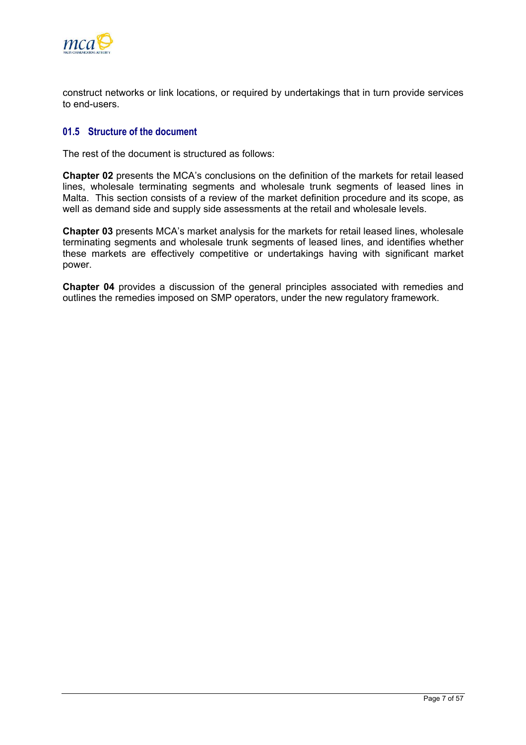<span id="page-9-0"></span>

construct networks or link locations, or required by undertakings that in turn provide services to end-users.

## **01.5 Structure of the document**

The rest of the document is structured as follows:

**Chapter 02** presents the MCA's conclusions on the definition of the markets for retail leased lines, wholesale terminating segments and wholesale trunk segments of leased lines in Malta. This section consists of a review of the market definition procedure and its scope, as well as demand side and supply side assessments at the retail and wholesale levels.

**Chapter 03** presents MCA's market analysis for the markets for retail leased lines, wholesale terminating segments and wholesale trunk segments of leased lines, and identifies whether these markets are effectively competitive or undertakings having with significant market power.

**Chapter 04** provides a discussion of the general principles associated with remedies and outlines the remedies imposed on SMP operators, under the new regulatory framework.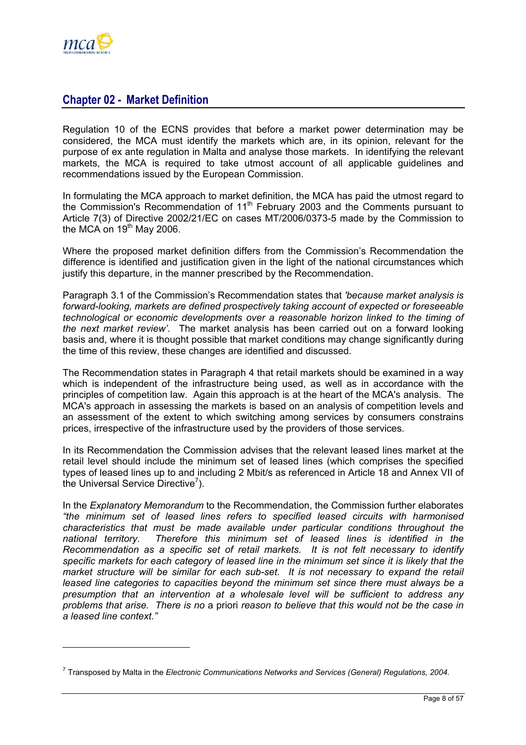<span id="page-10-0"></span>

## **Chapter 02 - Market Definition**

Regulation 10 of the ECNS provides that before a market power determination may be considered, the MCA must identify the markets which are, in its opinion, relevant for the purpose of ex ante regulation in Malta and analyse those markets. In identifying the relevant markets, the MCA is required to take utmost account of all applicable guidelines and recommendations issued by the European Commission.

In formulating the MCA approach to market definition, the MCA has paid the utmost regard to the Commission's Recommendation of  $11<sup>th</sup>$  February 2003 and the Comments pursuant to Article 7(3) of Directive 2002/21/EC on cases MT/2006/0373-5 made by the Commission to the MCA on  $19<sup>th</sup>$  May 2006.

Where the proposed market definition differs from the Commission's Recommendation the difference is identified and justification given in the light of the national circumstances which justify this departure, in the manner prescribed by the Recommendation.

Paragraph 3.1 of the Commission's Recommendation states that *'because market analysis is forward-looking, markets are defined prospectively taking account of expected or foreseeable technological or economic developments over a reasonable horizon linked to the timing of the next market review'*. The market analysis has been carried out on a forward looking basis and, where it is thought possible that market conditions may change significantly during the time of this review, these changes are identified and discussed.

The Recommendation states in Paragraph 4 that retail markets should be examined in a way which is independent of the infrastructure being used, as well as in accordance with the principles of competition law. Again this approach is at the heart of the MCA's analysis. The MCA's approach in assessing the markets is based on an analysis of competition levels and an assessment of the extent to which switching among services by consumers constrains prices, irrespective of the infrastructure used by the providers of those services.

In its Recommendation the Commission advises that the relevant leased lines market at the retail level should include the minimum set of leased lines (which comprises the specified types of leased lines up to and including 2 Mbit/s as referenced in Article 18 and Annex VII of the Universal Service Directive<sup>[7](#page-10-1)</sup>).

In the *Explanatory Memorandum* to the Recommendation, the Commission further elaborates *"the minimum set of leased lines refers to specified leased circuits with harmonised characteristics that must be made available under particular conditions throughout the national territory. Therefore this minimum set of leased lines is identified in the Recommendation as a specific set of retail markets. It is not felt necessary to identify specific markets for each category of leased line in the minimum set since it is likely that the market structure will be similar for each sub-set. It is not necessary to expand the retail leased line categories to capacities beyond the minimum set since there must always be a presumption that an intervention at a wholesale level will be sufficient to address any problems that arise. There is no* a priori *reason to believe that this would not be the case in a leased line context."*

<span id="page-10-1"></span><sup>7</sup> Transposed by Malta in the *Electronic Communications Networks and Services (General) Regulations, 2004*.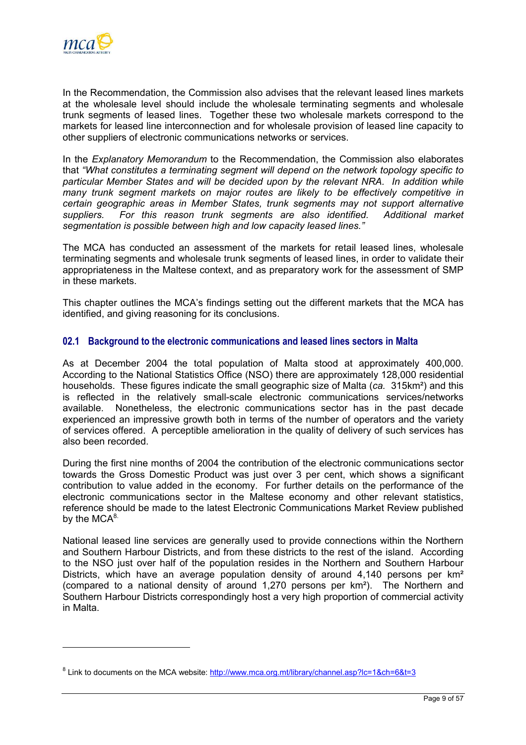<span id="page-11-0"></span>

In the Recommendation, the Commission also advises that the relevant leased lines markets at the wholesale level should include the wholesale terminating segments and wholesale trunk segments of leased lines. Together these two wholesale markets correspond to the markets for leased line interconnection and for wholesale provision of leased line capacity to other suppliers of electronic communications networks or services.

In the *Explanatory Memorandum* to the Recommendation, the Commission also elaborates that *"What constitutes a terminating segment will depend on the network topology specific to particular Member States and will be decided upon by the relevant NRA. In addition while many trunk segment markets on major routes are likely to be effectively competitive in certain geographic areas in Member States, trunk segments may not support alternative suppliers. For this reason trunk segments are also identified. Additional market segmentation is possible between high and low capacity leased lines."*

The MCA has conducted an assessment of the markets for retail leased lines, wholesale terminating segments and wholesale trunk segments of leased lines, in order to validate their appropriateness in the Maltese context, and as preparatory work for the assessment of SMP in these markets.

This chapter outlines the MCA's findings setting out the different markets that the MCA has identified, and giving reasoning for its conclusions.

## **02.1 Background to the electronic communications and leased lines sectors in Malta**

As at December 2004 the total population of Malta stood at approximately 400,000. According to the National Statistics Office (NSO) there are approximately 128,000 residential households. These figures indicate the small geographic size of Malta (*ca.* 315km²) and this is reflected in the relatively small-scale electronic communications services/networks available. Nonetheless, the electronic communications sector has in the past decade experienced an impressive growth both in terms of the number of operators and the variety of services offered. A perceptible amelioration in the quality of delivery of such services has also been recorded.

During the first nine months of 2004 the contribution of the electronic communications sector towards the Gross Domestic Product was just over 3 per cent, which shows a significant contribution to value added in the economy. For further details on the performance of the electronic communications sector in the Maltese economy and other relevant statistics, reference should be made to the latest Electronic Communications Market Review published by the  $MCA^{8}$ .

National leased line services are generally used to provide connections within the Northern and Southern Harbour Districts, and from these districts to the rest of the island. According to the NSO just over half of the population resides in the Northern and Southern Harbour Districts, which have an average population density of around 4,140 persons per km<sup>2</sup> (compared to a national density of around 1,270 persons per km²). The Northern and Southern Harbour Districts correspondingly host a very high proportion of commercial activity in Malta.

<span id="page-11-1"></span><sup>&</sup>lt;sup>8</sup> Link to documents on the MCA website:<http://www.mca.org.mt/library/channel.asp?lc=1&ch=6&t=3>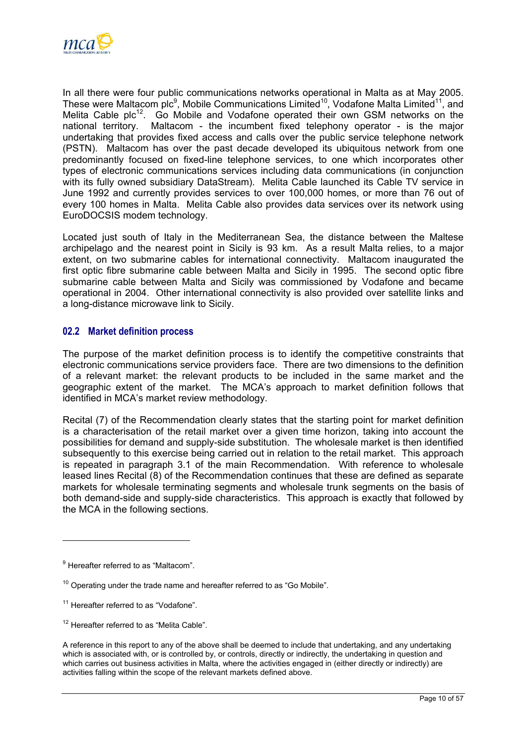<span id="page-12-0"></span>

In all there were four public communications networks operational in Malta as at May 2005. These were Maltacom plc<sup>[9](#page-12-1)</sup>, Mobile Communications Limited<sup>10</sup>, Vodafone Malta Limited<sup>11</sup>, and Melita Cable plc<sup>12</sup>. Go Mobile and Vodafone operated their own GSM networks on the national territory. Maltacom - the incumbent fixed telephony operator - is the major undertaking that provides fixed access and calls over the public service telephone network (PSTN). Maltacom has over the past decade developed its ubiquitous network from one predominantly focused on fixed-line telephone services, to one which incorporates other types of electronic communications services including data communications (in conjunction with its fully owned subsidiary DataStream). Melita Cable launched its Cable TV service in June 1992 and currently provides services to over 100,000 homes, or more than 76 out of every 100 homes in Malta. Melita Cable also provides data services over its network using EuroDOCSIS modem technology.

Located just south of Italy in the Mediterranean Sea, the distance between the Maltese archipelago and the nearest point in Sicily is 93 km. As a result Malta relies, to a major extent, on two submarine cables for international connectivity. Maltacom inaugurated the first optic fibre submarine cable between Malta and Sicily in 1995. The second optic fibre submarine cable between Malta and Sicily was commissioned by Vodafone and became operational in 2004. Other international connectivity is also provided over satellite links and a long-distance microwave link to Sicily.

## **02.2 Market definition process**

The purpose of the market definition process is to identify the competitive constraints that electronic communications service providers face. There are two dimensions to the definition of a relevant market: the relevant products to be included in the same market and the geographic extent of the market. The MCA's approach to market definition follows that identified in MCA's market review methodology.

Recital (7) of the Recommendation clearly states that the starting point for market definition is a characterisation of the retail market over a given time horizon, taking into account the possibilities for demand and supply-side substitution. The wholesale market is then identified subsequently to this exercise being carried out in relation to the retail market. This approach is repeated in paragraph 3.1 of the main Recommendation. With reference to wholesale leased lines Recital (8) of the Recommendation continues that these are defined as separate markets for wholesale terminating segments and wholesale trunk segments on the basis of both demand-side and supply-side characteristics. This approach is exactly that followed by the MCA in the following sections.

<span id="page-12-1"></span><sup>&</sup>lt;sup>9</sup> Hereafter referred to as "Maltacom".

<span id="page-12-2"></span> $10$  Operating under the trade name and hereafter referred to as "Go Mobile".

<span id="page-12-3"></span><sup>&</sup>lt;sup>11</sup> Hereafter referred to as "Vodafone".

<span id="page-12-4"></span><sup>&</sup>lt;sup>12</sup> Hereafter referred to as "Melita Cable".

A reference in this report to any of the above shall be deemed to include that undertaking, and any undertaking which is associated with, or is controlled by, or controls, directly or indirectly, the undertaking in question and which carries out business activities in Malta, where the activities engaged in (either directly or indirectly) are activities falling within the scope of the relevant markets defined above.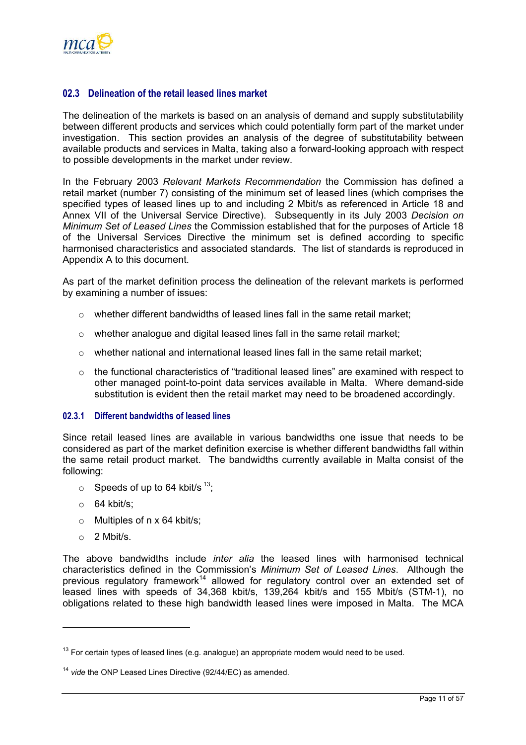<span id="page-13-0"></span>

## **02.3 Delineation of the retail leased lines market**

The delineation of the markets is based on an analysis of demand and supply substitutability between different products and services which could potentially form part of the market under investigation. This section provides an analysis of the degree of substitutability between available products and services in Malta, taking also a forward-looking approach with respect to possible developments in the market under review.

In the February 2003 *Relevant Markets Recommendation* the Commission has defined a retail market (number 7) consisting of the minimum set of leased lines (which comprises the specified types of leased lines up to and including 2 Mbit/s as referenced in Article 18 and Annex VII of the Universal Service Directive). Subsequently in its July 2003 *Decision on Minimum Set of Leased Lines* the Commission established that for the purposes of Article 18 of the Universal Services Directive the minimum set is defined according to specific harmonised characteristics and associated standards. The list of standards is reproduced in Appendix A to this document.

As part of the market definition process the delineation of the relevant markets is performed by examining a number of issues:

- o whether different bandwidths of leased lines fall in the same retail market;
- o whether analogue and digital leased lines fall in the same retail market;
- $\circ$  whether national and international leased lines fall in the same retail market;
- $\circ$  the functional characteristics of "traditional leased lines" are examined with respect to other managed point-to-point data services available in Malta. Where demand-side substitution is evident then the retail market may need to be broadened accordingly.

#### **02.3.1 Different bandwidths of leased lines**

Since retail leased lines are available in various bandwidths one issue that needs to be considered as part of the market definition exercise is whether different bandwidths fall within the same retail product market. The bandwidths currently available in Malta consist of the following:

- $\circ$  Speeds of up to 64 kbit/s <sup>13</sup>;
- $\circ$  64 kbit/s:
- $\circ$  Multiples of n x 64 kbit/s;
- $\circ$  2 Mbit/s.

The above bandwidths include *inter alia* the leased lines with harmonised technical characteristics defined in the Commission's *Minimum Set of Leased Lines*. Although the previous regulatory framework[14](#page-13-2) allowed for regulatory control over an extended set of leased lines with speeds of 34,368 kbit/s, 139,264 kbit/s and 155 Mbit/s (STM-1), no obligations related to these high bandwidth leased lines were imposed in Malta. The MCA

<span id="page-13-1"></span> $13$  For certain types of leased lines (e.g. analogue) an appropriate modem would need to be used.

<span id="page-13-2"></span><sup>14</sup> *vide* the ONP Leased Lines Directive (92/44/EC) as amended.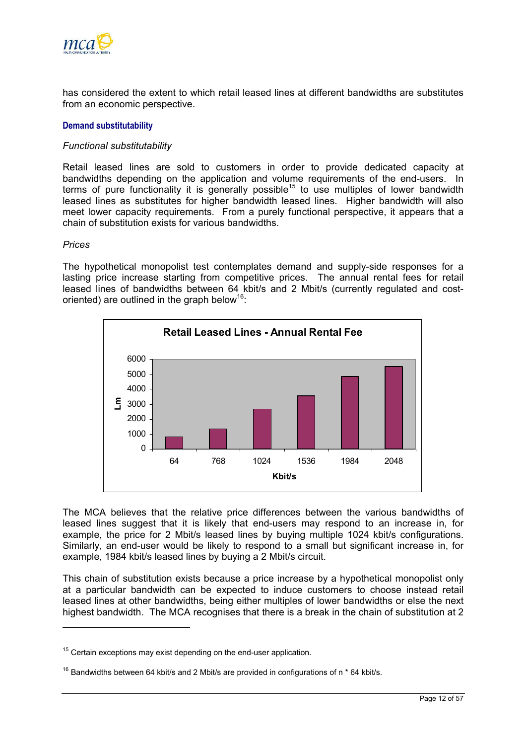

has considered the extent to which retail leased lines at different bandwidths are substitutes from an economic perspective.

#### **Demand substitutability**

#### *Functional substitutability*

Retail leased lines are sold to customers in order to provide dedicated capacity at bandwidths depending on the application and volume requirements of the end-users. In terms of pure functionality it is generally possible<sup>15</sup> to use multiples of lower bandwidth leased lines as substitutes for higher bandwidth leased lines. Higher bandwidth will also meet lower capacity requirements. From a purely functional perspective, it appears that a chain of substitution exists for various bandwidths.

#### *Prices*

The hypothetical monopolist test contemplates demand and supply-side responses for a lasting price increase starting from competitive prices. The annual rental fees for retail leased lines of bandwidths between 64 kbit/s and 2 Mbit/s (currently regulated and costoriented) are outlined in the graph below<sup>16</sup>:



The MCA believes that the relative price differences between the various bandwidths of leased lines suggest that it is likely that end-users may respond to an increase in, for example, the price for 2 Mbit/s leased lines by buying multiple 1024 kbit/s configurations. Similarly, an end-user would be likely to respond to a small but significant increase in, for example, 1984 kbit/s leased lines by buying a 2 Mbit/s circuit.

This chain of substitution exists because a price increase by a hypothetical monopolist only at a particular bandwidth can be expected to induce customers to choose instead retail leased lines at other bandwidths, being either multiples of lower bandwidths or else the next highest bandwidth. The MCA recognises that there is a break in the chain of substitution at 2

<span id="page-14-0"></span> $15$  Certain exceptions may exist depending on the end-user application.

<span id="page-14-1"></span><sup>&</sup>lt;sup>16</sup> Bandwidths between 64 kbit/s and 2 Mbit/s are provided in configurations of n  $*$  64 kbit/s.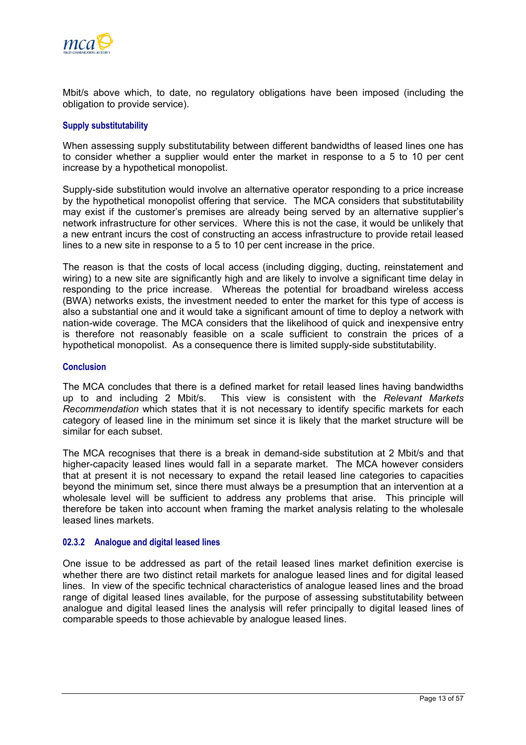

Mbit/s above which, to date, no regulatory obligations have been imposed (including the obligation to provide service).

#### **Supply substitutability**

When assessing supply substitutability between different bandwidths of leased lines one has to consider whether a supplier would enter the market in response to a 5 to 10 per cent increase by a hypothetical monopolist.

Supply-side substitution would involve an alternative operator responding to a price increase by the hypothetical monopolist offering that service. The MCA considers that substitutability may exist if the customer's premises are already being served by an alternative supplier's network infrastructure for other services. Where this is not the case, it would be unlikely that a new entrant incurs the cost of constructing an access infrastructure to provide retail leased lines to a new site in response to a 5 to 10 per cent increase in the price.

The reason is that the costs of local access (including digging, ducting, reinstatement and wiring) to a new site are significantly high and are likely to involve a significant time delay in responding to the price increase. Whereas the potential for broadband wireless access (BWA) networks exists, the investment needed to enter the market for this type of access is also a substantial one and it would take a significant amount of time to deploy a network with nation-wide coverage. The MCA considers that the likelihood of quick and inexpensive entry is therefore not reasonably feasible on a scale sufficient to constrain the prices of a hypothetical monopolist. As a consequence there is limited supply-side substitutability.

#### **Conclusion**

The MCA concludes that there is a defined market for retail leased lines having bandwidths up to and including 2 Mbit/s. This view is consistent with the *Relevant Markets Recommendation* which states that it is not necessary to identify specific markets for each category of leased line in the minimum set since it is likely that the market structure will be similar for each subset.

The MCA recognises that there is a break in demand-side substitution at 2 Mbit/s and that higher-capacity leased lines would fall in a separate market. The MCA however considers that at present it is not necessary to expand the retail leased line categories to capacities beyond the minimum set, since there must always be a presumption that an intervention at a wholesale level will be sufficient to address any problems that arise. This principle will therefore be taken into account when framing the market analysis relating to the wholesale leased lines markets.

#### **02.3.2 Analogue and digital leased lines**

One issue to be addressed as part of the retail leased lines market definition exercise is whether there are two distinct retail markets for analogue leased lines and for digital leased lines. In view of the specific technical characteristics of analogue leased lines and the broad range of digital leased lines available, for the purpose of assessing substitutability between analogue and digital leased lines the analysis will refer principally to digital leased lines of comparable speeds to those achievable by analogue leased lines.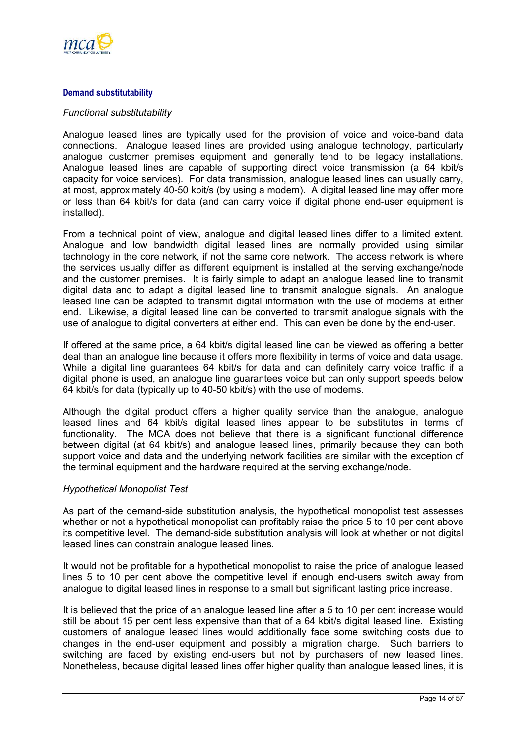

### **Demand substitutability**

#### *Functional substitutability*

Analogue leased lines are typically used for the provision of voice and voice-band data connections. Analogue leased lines are provided using analogue technology, particularly analogue customer premises equipment and generally tend to be legacy installations. Analogue leased lines are capable of supporting direct voice transmission (a 64 kbit/s capacity for voice services). For data transmission, analogue leased lines can usually carry, at most, approximately 40-50 kbit/s (by using a modem). A digital leased line may offer more or less than 64 kbit/s for data (and can carry voice if digital phone end-user equipment is installed).

From a technical point of view, analogue and digital leased lines differ to a limited extent. Analogue and low bandwidth digital leased lines are normally provided using similar technology in the core network, if not the same core network. The access network is where the services usually differ as different equipment is installed at the serving exchange/node and the customer premises. It is fairly simple to adapt an analogue leased line to transmit digital data and to adapt a digital leased line to transmit analogue signals. An analogue leased line can be adapted to transmit digital information with the use of modems at either end. Likewise, a digital leased line can be converted to transmit analogue signals with the use of analogue to digital converters at either end. This can even be done by the end-user.

If offered at the same price, a 64 kbit/s digital leased line can be viewed as offering a better deal than an analogue line because it offers more flexibility in terms of voice and data usage. While a digital line guarantees 64 kbit/s for data and can definitely carry voice traffic if a digital phone is used, an analogue line guarantees voice but can only support speeds below 64 kbit/s for data (typically up to 40-50 kbit/s) with the use of modems.

Although the digital product offers a higher quality service than the analogue, analogue leased lines and 64 kbit/s digital leased lines appear to be substitutes in terms of functionality. The MCA does not believe that there is a significant functional difference between digital (at 64 kbit/s) and analogue leased lines, primarily because they can both support voice and data and the underlying network facilities are similar with the exception of the terminal equipment and the hardware required at the serving exchange/node.

#### *Hypothetical Monopolist Test*

As part of the demand-side substitution analysis, the hypothetical monopolist test assesses whether or not a hypothetical monopolist can profitably raise the price 5 to 10 per cent above its competitive level. The demand-side substitution analysis will look at whether or not digital leased lines can constrain analogue leased lines.

It would not be profitable for a hypothetical monopolist to raise the price of analogue leased lines 5 to 10 per cent above the competitive level if enough end-users switch away from analogue to digital leased lines in response to a small but significant lasting price increase.

It is believed that the price of an analogue leased line after a 5 to 10 per cent increase would still be about 15 per cent less expensive than that of a 64 kbit/s digital leased line. Existing customers of analogue leased lines would additionally face some switching costs due to changes in the end-user equipment and possibly a migration charge. Such barriers to switching are faced by existing end-users but not by purchasers of new leased lines. Nonetheless, because digital leased lines offer higher quality than analogue leased lines, it is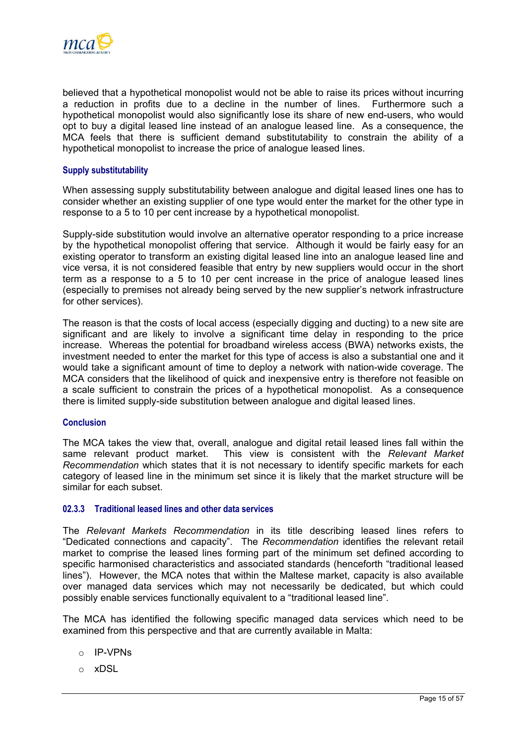

believed that a hypothetical monopolist would not be able to raise its prices without incurring a reduction in profits due to a decline in the number of lines. Furthermore such a hypothetical monopolist would also significantly lose its share of new end-users, who would opt to buy a digital leased line instead of an analogue leased line. As a consequence, the MCA feels that there is sufficient demand substitutability to constrain the ability of a hypothetical monopolist to increase the price of analogue leased lines.

#### **Supply substitutability**

When assessing supply substitutability between analogue and digital leased lines one has to consider whether an existing supplier of one type would enter the market for the other type in response to a 5 to 10 per cent increase by a hypothetical monopolist.

Supply-side substitution would involve an alternative operator responding to a price increase by the hypothetical monopolist offering that service. Although it would be fairly easy for an existing operator to transform an existing digital leased line into an analogue leased line and vice versa, it is not considered feasible that entry by new suppliers would occur in the short term as a response to a 5 to 10 per cent increase in the price of analogue leased lines (especially to premises not already being served by the new supplier's network infrastructure for other services).

The reason is that the costs of local access (especially digging and ducting) to a new site are significant and are likely to involve a significant time delay in responding to the price increase. Whereas the potential for broadband wireless access (BWA) networks exists, the investment needed to enter the market for this type of access is also a substantial one and it would take a significant amount of time to deploy a network with nation-wide coverage. The MCA considers that the likelihood of quick and inexpensive entry is therefore not feasible on a scale sufficient to constrain the prices of a hypothetical monopolist. As a consequence there is limited supply-side substitution between analogue and digital leased lines.

#### **Conclusion**

The MCA takes the view that, overall, analogue and digital retail leased lines fall within the same relevant product market. This view is consistent with the *Relevant Market Recommendation* which states that it is not necessary to identify specific markets for each category of leased line in the minimum set since it is likely that the market structure will be similar for each subset.

#### **02.3.3 Traditional leased lines and other data services**

The *Relevant Markets Recommendation* in its title describing leased lines refers to "Dedicated connections and capacity". The *Recommendation* identifies the relevant retail market to comprise the leased lines forming part of the minimum set defined according to specific harmonised characteristics and associated standards (henceforth "traditional leased lines"). However, the MCA notes that within the Maltese market, capacity is also available over managed data services which may not necessarily be dedicated, but which could possibly enable services functionally equivalent to a "traditional leased line".

The MCA has identified the following specific managed data services which need to be examined from this perspective and that are currently available in Malta:

- o IP-VPNs
- o xDSL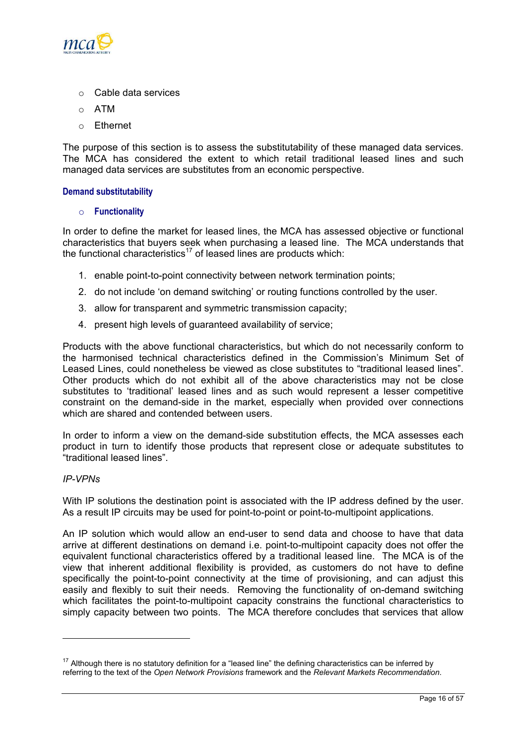

- o Cable data services
- o ATM
- o Ethernet

The purpose of this section is to assess the substitutability of these managed data services. The MCA has considered the extent to which retail traditional leased lines and such managed data services are substitutes from an economic perspective.

#### **Demand substitutability**

#### o **Functionality**

In order to define the market for leased lines, the MCA has assessed objective or functional characteristics that buyers seek when purchasing a leased line. The MCA understands that the functional characteristics<sup>17</sup> of leased lines are products which:

- 1. enable point-to-point connectivity between network termination points;
- 2. do not include 'on demand switching' or routing functions controlled by the user.
- 3. allow for transparent and symmetric transmission capacity;
- 4. present high levels of guaranteed availability of service;

Products with the above functional characteristics, but which do not necessarily conform to the harmonised technical characteristics defined in the Commission's Minimum Set of Leased Lines, could nonetheless be viewed as close substitutes to "traditional leased lines". Other products which do not exhibit all of the above characteristics may not be close substitutes to 'traditional' leased lines and as such would represent a lesser competitive constraint on the demand-side in the market, especially when provided over connections which are shared and contended between users.

In order to inform a view on the demand-side substitution effects, the MCA assesses each product in turn to identify those products that represent close or adequate substitutes to "traditional leased lines".

#### *IP-VPNs*

With IP solutions the destination point is associated with the IP address defined by the user. As a result IP circuits may be used for point-to-point or point-to-multipoint applications.

An IP solution which would allow an end-user to send data and choose to have that data arrive at different destinations on demand i.e. point-to-multipoint capacity does not offer the equivalent functional characteristics offered by a traditional leased line. The MCA is of the view that inherent additional flexibility is provided, as customers do not have to define specifically the point-to-point connectivity at the time of provisioning, and can adjust this easily and flexibly to suit their needs. Removing the functionality of on-demand switching which facilitates the point-to-multipoint capacity constrains the functional characteristics to simply capacity between two points. The MCA therefore concludes that services that allow

<span id="page-18-0"></span> $17$  Although there is no statutory definition for a "leased line" the defining characteristics can be inferred by referring to the text of the *Open Network Provisions* framework and the *Relevant Markets Recommendation*.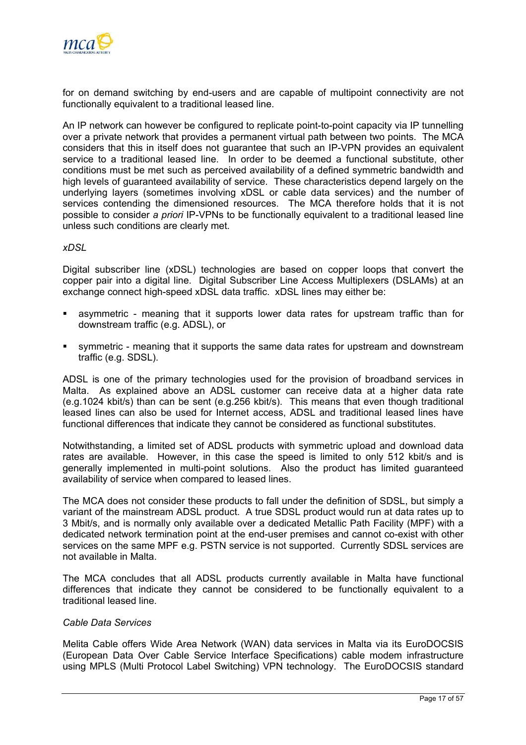

for on demand switching by end-users and are capable of multipoint connectivity are not functionally equivalent to a traditional leased line.

An IP network can however be configured to replicate point-to-point capacity via IP tunnelling over a private network that provides a permanent virtual path between two points. The MCA considers that this in itself does not guarantee that such an IP-VPN provides an equivalent service to a traditional leased line. In order to be deemed a functional substitute, other conditions must be met such as perceived availability of a defined symmetric bandwidth and high levels of guaranteed availability of service. These characteristics depend largely on the underlying layers (sometimes involving xDSL or cable data services) and the number of services contending the dimensioned resources. The MCA therefore holds that it is not possible to consider *a priori* IP-VPNs to be functionally equivalent to a traditional leased line unless such conditions are clearly met.

#### *xDSL*

Digital subscriber line (xDSL) technologies are based on copper loops that convert the copper pair into a digital line. Digital Subscriber Line Access Multiplexers (DSLAMs) at an exchange connect high-speed xDSL data traffic. xDSL lines may either be:

- asymmetric meaning that it supports lower data rates for upstream traffic than for downstream traffic (e.g. ADSL), or
- symmetric meaning that it supports the same data rates for upstream and downstream traffic (e.g. SDSL).

ADSL is one of the primary technologies used for the provision of broadband services in Malta. As explained above an ADSL customer can receive data at a higher data rate (e.g.1024 kbit/s) than can be sent (e.g.256 kbit/s). This means that even though traditional leased lines can also be used for Internet access, ADSL and traditional leased lines have functional differences that indicate they cannot be considered as functional substitutes.

Notwithstanding, a limited set of ADSL products with symmetric upload and download data rates are available. However, in this case the speed is limited to only 512 kbit/s and is generally implemented in multi-point solutions. Also the product has limited guaranteed availability of service when compared to leased lines.

The MCA does not consider these products to fall under the definition of SDSL, but simply a variant of the mainstream ADSL product. A true SDSL product would run at data rates up to 3 Mbit/s, and is normally only available over a dedicated Metallic Path Facility (MPF) with a dedicated network termination point at the end-user premises and cannot co-exist with other services on the same MPF e.g. PSTN service is not supported. Currently SDSL services are not available in Malta.

The MCA concludes that all ADSL products currently available in Malta have functional differences that indicate they cannot be considered to be functionally equivalent to a traditional leased line.

## *Cable Data Services*

Melita Cable offers Wide Area Network (WAN) data services in Malta via its EuroDOCSIS (European Data Over Cable Service Interface Specifications) cable modem infrastructure using MPLS (Multi Protocol Label Switching) VPN technology. The EuroDOCSIS standard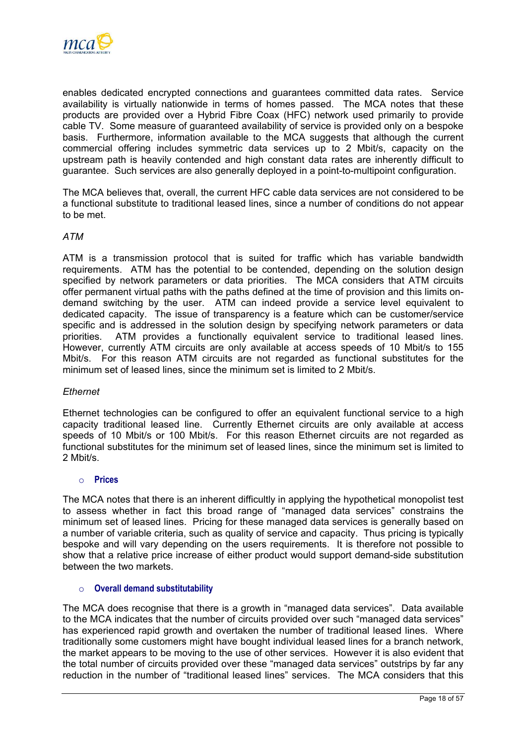

enables dedicated encrypted connections and guarantees committed data rates. Service availability is virtually nationwide in terms of homes passed. The MCA notes that these products are provided over a Hybrid Fibre Coax (HFC) network used primarily to provide cable TV. Some measure of guaranteed availability of service is provided only on a bespoke basis. Furthermore, information available to the MCA suggests that although the current commercial offering includes symmetric data services up to 2 Mbit/s, capacity on the upstream path is heavily contended and high constant data rates are inherently difficult to guarantee. Such services are also generally deployed in a point-to-multipoint configuration.

The MCA believes that, overall, the current HFC cable data services are not considered to be a functional substitute to traditional leased lines, since a number of conditions do not appear to be met.

## *ATM*

ATM is a transmission protocol that is suited for traffic which has variable bandwidth requirements. ATM has the potential to be contended, depending on the solution design specified by network parameters or data priorities. The MCA considers that ATM circuits offer permanent virtual paths with the paths defined at the time of provision and this limits ondemand switching by the user. ATM can indeed provide a service level equivalent to dedicated capacity. The issue of transparency is a feature which can be customer/service specific and is addressed in the solution design by specifying network parameters or data priorities. ATM provides a functionally equivalent service to traditional leased lines. However, currently ATM circuits are only available at access speeds of 10 Mbit/s to 155 Mbit/s. For this reason ATM circuits are not regarded as functional substitutes for the minimum set of leased lines, since the minimum set is limited to 2 Mbit/s.

#### *Ethernet*

Ethernet technologies can be configured to offer an equivalent functional service to a high capacity traditional leased line. Currently Ethernet circuits are only available at access speeds of 10 Mbit/s or 100 Mbit/s. For this reason Ethernet circuits are not regarded as functional substitutes for the minimum set of leased lines, since the minimum set is limited to 2 Mbit/s.

#### o **Prices**

The MCA notes that there is an inherent difficultly in applying the hypothetical monopolist test to assess whether in fact this broad range of "managed data services" constrains the minimum set of leased lines. Pricing for these managed data services is generally based on a number of variable criteria, such as quality of service and capacity. Thus pricing is typically bespoke and will vary depending on the users requirements. It is therefore not possible to show that a relative price increase of either product would support demand-side substitution between the two markets.

## o **Overall demand substitutability**

The MCA does recognise that there is a growth in "managed data services". Data available to the MCA indicates that the number of circuits provided over such "managed data services" has experienced rapid growth and overtaken the number of traditional leased lines. Where traditionally some customers might have bought individual leased lines for a branch network, the market appears to be moving to the use of other services. However it is also evident that the total number of circuits provided over these "managed data services" outstrips by far any reduction in the number of "traditional leased lines" services. The MCA considers that this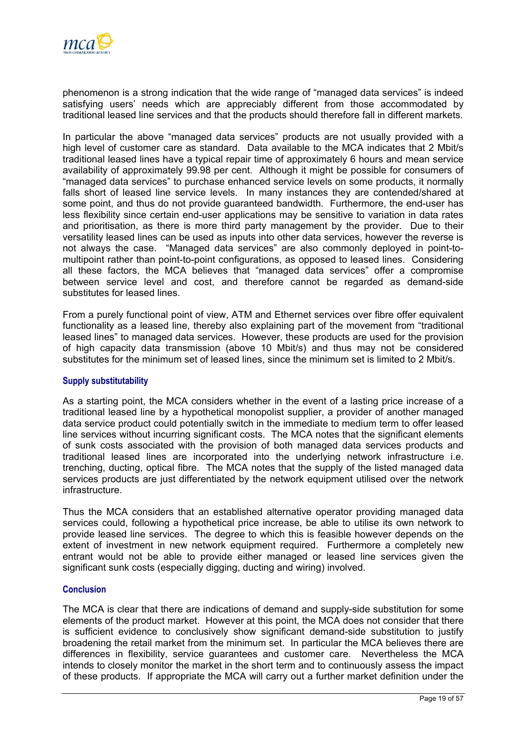

phenomenon is a strong indication that the wide range of "managed data services" is indeed satisfying users' needs which are appreciably different from those accommodated by traditional leased line services and that the products should therefore fall in different markets.

In particular the above "managed data services" products are not usually provided with a high level of customer care as standard. Data available to the MCA indicates that 2 Mbit/s traditional leased lines have a typical repair time of approximately 6 hours and mean service availability of approximately 99.98 per cent. Although it might be possible for consumers of "managed data services" to purchase enhanced service levels on some products, it normally falls short of leased line service levels. In many instances they are contended/shared at some point, and thus do not provide guaranteed bandwidth. Furthermore, the end-user has less flexibility since certain end-user applications may be sensitive to variation in data rates and prioritisation, as there is more third party management by the provider. Due to their versatility leased lines can be used as inputs into other data services, however the reverse is not always the case. "Managed data services" are also commonly deployed in point-tomultipoint rather than point-to-point configurations, as opposed to leased lines. Considering all these factors, the MCA believes that "managed data services" offer a compromise between service level and cost, and therefore cannot be regarded as demand-side substitutes for leased lines.

From a purely functional point of view, ATM and Ethernet services over fibre offer equivalent functionality as a leased line, thereby also explaining part of the movement from "traditional leased lines" to managed data services. However, these products are used for the provision of high capacity data transmission (above 10 Mbit/s) and thus may not be considered substitutes for the minimum set of leased lines, since the minimum set is limited to 2 Mbit/s.

#### **Supply substitutability**

As a starting point, the MCA considers whether in the event of a lasting price increase of a traditional leased line by a hypothetical monopolist supplier, a provider of another managed data service product could potentially switch in the immediate to medium term to offer leased line services without incurring significant costs. The MCA notes that the significant elements of sunk costs associated with the provision of both managed data services products and traditional leased lines are incorporated into the underlying network infrastructure i.e. trenching, ducting, optical fibre. The MCA notes that the supply of the listed managed data services products are just differentiated by the network equipment utilised over the network infrastructure.

Thus the MCA considers that an established alternative operator providing managed data services could, following a hypothetical price increase, be able to utilise its own network to provide leased line services. The degree to which this is feasible however depends on the extent of investment in new network equipment required. Furthermore a completely new entrant would not be able to provide either managed or leased line services given the significant sunk costs (especially digging, ducting and wiring) involved.

#### **Conclusion**

The MCA is clear that there are indications of demand and supply-side substitution for some elements of the product market. However at this point, the MCA does not consider that there is sufficient evidence to conclusively show significant demand-side substitution to justify broadening the retail market from the minimum set. In particular the MCA believes there are differences in flexibility, service guarantees and customer care. Nevertheless the MCA intends to closely monitor the market in the short term and to continuously assess the impact of these products. If appropriate the MCA will carry out a further market definition under the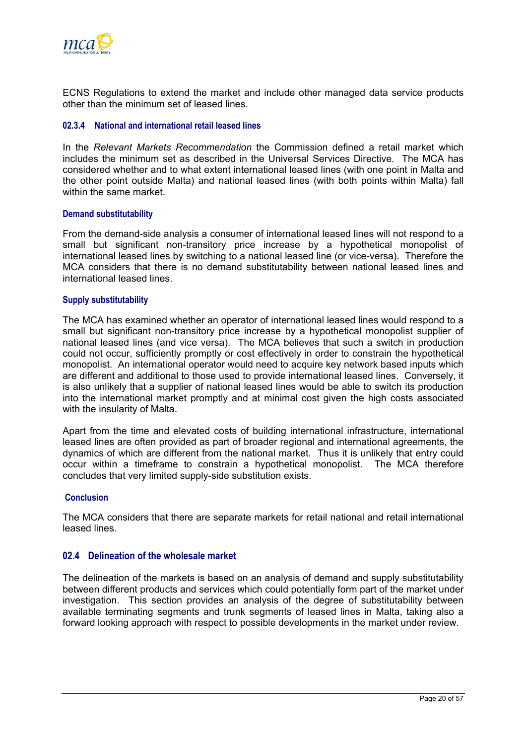<span id="page-22-0"></span>

ECNS Regulations to extend the market and include other managed data service products other than the minimum set of leased lines.

### **02.3.4 National and international retail leased lines**

In the *Relevant Markets Recommendation* the Commission defined a retail market which includes the minimum set as described in the Universal Services Directive. The MCA has considered whether and to what extent international leased lines (with one point in Malta and the other point outside Malta) and national leased lines (with both points within Malta) fall within the same market.

#### **Demand substitutability**

From the demand-side analysis a consumer of international leased lines will not respond to a small but significant non-transitory price increase by a hypothetical monopolist of international leased lines by switching to a national leased line (or vice-versa). Therefore the MCA considers that there is no demand substitutability between national leased lines and international leased lines.

#### **Supply substitutability**

The MCA has examined whether an operator of international leased lines would respond to a small but significant non-transitory price increase by a hypothetical monopolist supplier of national leased lines (and vice versa). The MCA believes that such a switch in production could not occur, sufficiently promptly or cost effectively in order to constrain the hypothetical monopolist. An international operator would need to acquire key network based inputs which are different and additional to those used to provide international leased lines. Conversely, it is also unlikely that a supplier of national leased lines would be able to switch its production into the international market promptly and at minimal cost given the high costs associated with the insularity of Malta.

Apart from the time and elevated costs of building international infrastructure, international leased lines are often provided as part of broader regional and international agreements, the dynamics of which are different from the national market. Thus it is unlikely that entry could occur within a timeframe to constrain a hypothetical monopolist. The MCA therefore concludes that very limited supply-side substitution exists.

#### **Conclusion**

The MCA considers that there are separate markets for retail national and retail international leased lines.

## **02.4 Delineation of the wholesale market**

The delineation of the markets is based on an analysis of demand and supply substitutability between different products and services which could potentially form part of the market under investigation. This section provides an analysis of the degree of substitutability between available terminating segments and trunk segments of leased lines in Malta, taking also a forward looking approach with respect to possible developments in the market under review.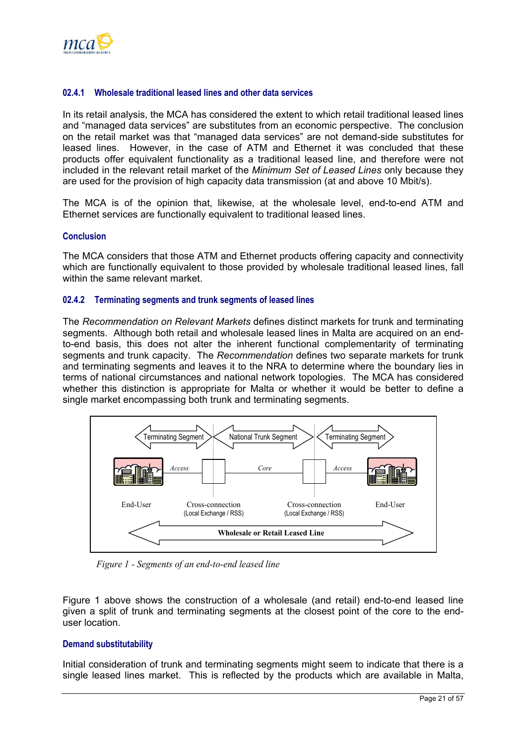

### **02.4.1 Wholesale traditional leased lines and other data services**

In its retail analysis, the MCA has considered the extent to which retail traditional leased lines and "managed data services" are substitutes from an economic perspective. The conclusion on the retail market was that "managed data services" are not demand-side substitutes for leased lines. However, in the case of ATM and Ethernet it was concluded that these products offer equivalent functionality as a traditional leased line, and therefore were not included in the relevant retail market of the *Minimum Set of Leased Lines* only because they are used for the provision of high capacity data transmission (at and above 10 Mbit/s).

The MCA is of the opinion that, likewise, at the wholesale level, end-to-end ATM and Ethernet services are functionally equivalent to traditional leased lines.

#### **Conclusion**

The MCA considers that those ATM and Ethernet products offering capacity and connectivity which are functionally equivalent to those provided by wholesale traditional leased lines, fall within the same relevant market.

#### **02.4.2 Terminating segments and trunk segments of leased lines**

The *Recommendation on Relevant Markets* defines distinct markets for trunk and terminating segments. Although both retail and wholesale leased lines in Malta are acquired on an endto-end basis, this does not alter the inherent functional complementarity of terminating segments and trunk capacity. The *Recommendation* defines two separate markets for trunk and terminating segments and leaves it to the NRA to determine where the boundary lies in terms of national circumstances and national network topologies. The MCA has considered whether this distinction is appropriate for Malta or whether it would be better to define a single market encompassing both trunk and terminating segments.



*Figure 1 - Segments of an end-to-end leased line* 

Figure 1 above shows the construction of a wholesale (and retail) end-to-end leased line given a split of trunk and terminating segments at the closest point of the core to the enduser location.

#### **Demand substitutability**

Initial consideration of trunk and terminating segments might seem to indicate that there is a single leased lines market. This is reflected by the products which are available in Malta,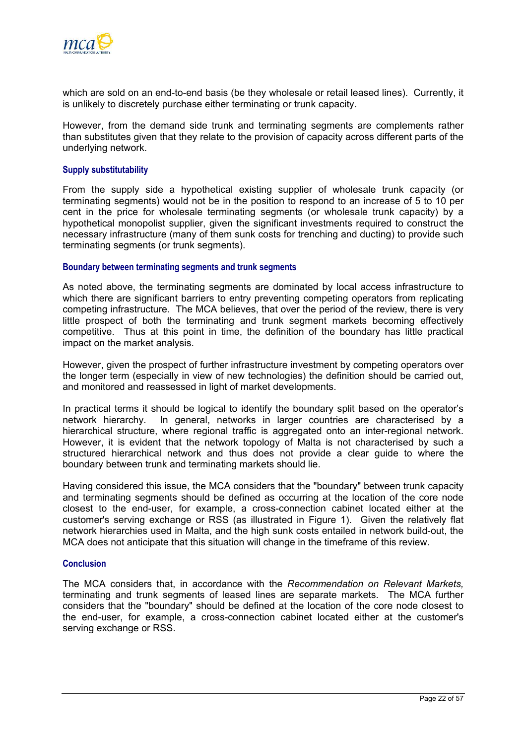

which are sold on an end-to-end basis (be they wholesale or retail leased lines). Currently, it is unlikely to discretely purchase either terminating or trunk capacity.

However, from the demand side trunk and terminating segments are complements rather than substitutes given that they relate to the provision of capacity across different parts of the underlying network.

#### **Supply substitutability**

From the supply side a hypothetical existing supplier of wholesale trunk capacity (or terminating segments) would not be in the position to respond to an increase of 5 to 10 per cent in the price for wholesale terminating segments (or wholesale trunk capacity) by a hypothetical monopolist supplier, given the significant investments required to construct the necessary infrastructure (many of them sunk costs for trenching and ducting) to provide such terminating segments (or trunk segments).

#### **Boundary between terminating segments and trunk segments**

As noted above, the terminating segments are dominated by local access infrastructure to which there are significant barriers to entry preventing competing operators from replicating competing infrastructure. The MCA believes, that over the period of the review, there is very little prospect of both the terminating and trunk segment markets becoming effectively competitive. Thus at this point in time, the definition of the boundary has little practical impact on the market analysis.

However, given the prospect of further infrastructure investment by competing operators over the longer term (especially in view of new technologies) the definition should be carried out, and monitored and reassessed in light of market developments.

In practical terms it should be logical to identify the boundary split based on the operator's network hierarchy. In general, networks in larger countries are characterised by a hierarchical structure, where regional traffic is aggregated onto an inter-regional network. However, it is evident that the network topology of Malta is not characterised by such a structured hierarchical network and thus does not provide a clear guide to where the boundary between trunk and terminating markets should lie.

Having considered this issue, the MCA considers that the "boundary" between trunk capacity and terminating segments should be defined as occurring at the location of the core node closest to the end-user, for example, a cross-connection cabinet located either at the customer's serving exchange or RSS (as illustrated in Figure 1). Given the relatively flat network hierarchies used in Malta, and the high sunk costs entailed in network build-out, the MCA does not anticipate that this situation will change in the timeframe of this review.

#### **Conclusion**

The MCA considers that, in accordance with the *Recommendation on Relevant Markets,* terminating and trunk segments of leased lines are separate markets. The MCA further considers that the "boundary" should be defined at the location of the core node closest to the end-user, for example, a cross-connection cabinet located either at the customer's serving exchange or RSS.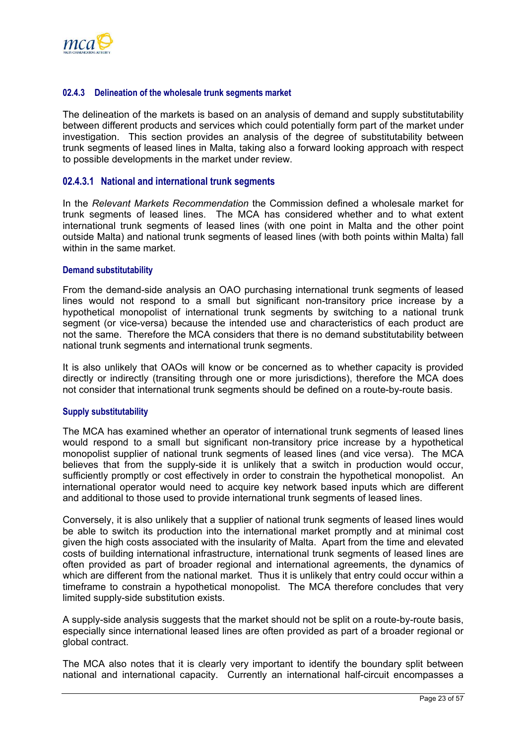

#### **02.4.3 Delineation of the wholesale trunk segments market**

The delineation of the markets is based on an analysis of demand and supply substitutability between different products and services which could potentially form part of the market under investigation. This section provides an analysis of the degree of substitutability between trunk segments of leased lines in Malta, taking also a forward looking approach with respect to possible developments in the market under review.

## **02.4.3.1 National and international trunk segments**

In the *Relevant Markets Recommendation* the Commission defined a wholesale market for trunk segments of leased lines. The MCA has considered whether and to what extent international trunk segments of leased lines (with one point in Malta and the other point outside Malta) and national trunk segments of leased lines (with both points within Malta) fall within in the same market.

#### **Demand substitutability**

From the demand-side analysis an OAO purchasing international trunk segments of leased lines would not respond to a small but significant non-transitory price increase by a hypothetical monopolist of international trunk segments by switching to a national trunk segment (or vice-versa) because the intended use and characteristics of each product are not the same. Therefore the MCA considers that there is no demand substitutability between national trunk segments and international trunk segments.

It is also unlikely that OAOs will know or be concerned as to whether capacity is provided directly or indirectly (transiting through one or more jurisdictions), therefore the MCA does not consider that international trunk segments should be defined on a route-by-route basis.

#### **Supply substitutability**

The MCA has examined whether an operator of international trunk segments of leased lines would respond to a small but significant non-transitory price increase by a hypothetical monopolist supplier of national trunk segments of leased lines (and vice versa). The MCA believes that from the supply-side it is unlikely that a switch in production would occur, sufficiently promptly or cost effectively in order to constrain the hypothetical monopolist. An international operator would need to acquire key network based inputs which are different and additional to those used to provide international trunk segments of leased lines.

Conversely, it is also unlikely that a supplier of national trunk segments of leased lines would be able to switch its production into the international market promptly and at minimal cost given the high costs associated with the insularity of Malta. Apart from the time and elevated costs of building international infrastructure, international trunk segments of leased lines are often provided as part of broader regional and international agreements, the dynamics of which are different from the national market. Thus it is unlikely that entry could occur within a timeframe to constrain a hypothetical monopolist. The MCA therefore concludes that very limited supply-side substitution exists.

A supply-side analysis suggests that the market should not be split on a route-by-route basis, especially since international leased lines are often provided as part of a broader regional or global contract.

The MCA also notes that it is clearly very important to identify the boundary split between national and international capacity. Currently an international half-circuit encompasses a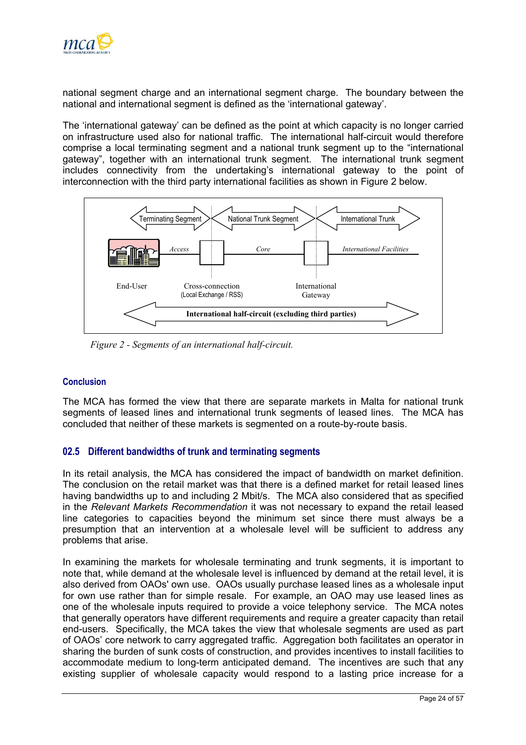<span id="page-26-0"></span>

national segment charge and an international segment charge. The boundary between the national and international segment is defined as the 'international gateway'.

The 'international gateway' can be defined as the point at which capacity is no longer carried on infrastructure used also for national traffic. The international half-circuit would therefore comprise a local terminating segment and a national trunk segment up to the "international gateway", together with an international trunk segment. The international trunk segment includes connectivity from the undertaking's international gateway to the point of interconnection with the third party international facilities as shown in Figure 2 below.



*Figure 2 - Segments of an international half-circuit.* 

## **Conclusion**

The MCA has formed the view that there are separate markets in Malta for national trunk segments of leased lines and international trunk segments of leased lines. The MCA has concluded that neither of these markets is segmented on a route-by-route basis.

## **02.5 Different bandwidths of trunk and terminating segments**

In its retail analysis, the MCA has considered the impact of bandwidth on market definition. The conclusion on the retail market was that there is a defined market for retail leased lines having bandwidths up to and including 2 Mbit/s. The MCA also considered that as specified in the *Relevant Markets Recommendation* it was not necessary to expand the retail leased line categories to capacities beyond the minimum set since there must always be a presumption that an intervention at a wholesale level will be sufficient to address any problems that arise.

In examining the markets for wholesale terminating and trunk segments, it is important to note that, while demand at the wholesale level is influenced by demand at the retail level, it is also derived from OAOs' own use. OAOs usually purchase leased lines as a wholesale input for own use rather than for simple resale. For example, an OAO may use leased lines as one of the wholesale inputs required to provide a voice telephony service. The MCA notes that generally operators have different requirements and require a greater capacity than retail end-users. Specifically, the MCA takes the view that wholesale segments are used as part of OAOs' core network to carry aggregated traffic. Aggregation both facilitates an operator in sharing the burden of sunk costs of construction, and provides incentives to install facilities to accommodate medium to long-term anticipated demand. The incentives are such that any existing supplier of wholesale capacity would respond to a lasting price increase for a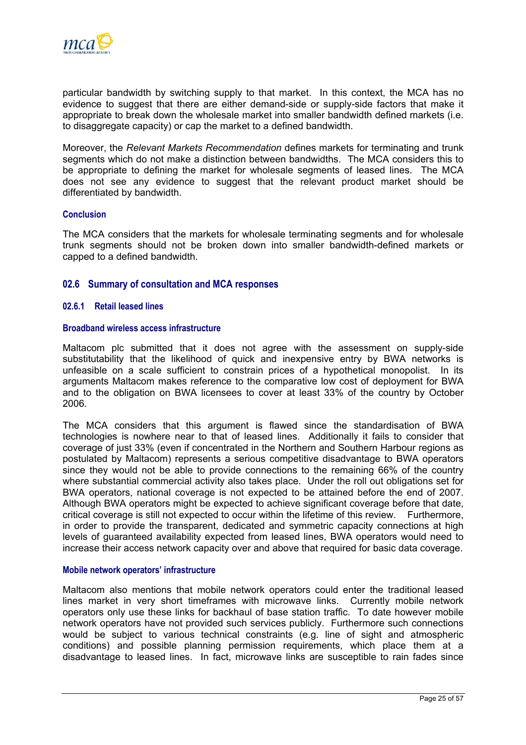<span id="page-27-0"></span>

particular bandwidth by switching supply to that market. In this context, the MCA has no evidence to suggest that there are either demand-side or supply-side factors that make it appropriate to break down the wholesale market into smaller bandwidth defined markets (i.e. to disaggregate capacity) or cap the market to a defined bandwidth.

Moreover, the *Relevant Markets Recommendation* defines markets for terminating and trunk segments which do not make a distinction between bandwidths. The MCA considers this to be appropriate to defining the market for wholesale segments of leased lines. The MCA does not see any evidence to suggest that the relevant product market should be differentiated by bandwidth.

#### **Conclusion**

The MCA considers that the markets for wholesale terminating segments and for wholesale trunk segments should not be broken down into smaller bandwidth-defined markets or capped to a defined bandwidth.

#### **02.6 Summary of consultation and MCA responses**

#### <span id="page-27-1"></span>**02.6.1 Retail leased lines**

#### **Broadband wireless access infrastructure**

Maltacom plc submitted that it does not agree with the assessment on supply-side substitutability that the likelihood of quick and inexpensive entry by BWA networks is unfeasible on a scale sufficient to constrain prices of a hypothetical monopolist. In its arguments Maltacom makes reference to the comparative low cost of deployment for BWA and to the obligation on BWA licensees to cover at least 33% of the country by October 2006.

The MCA considers that this argument is flawed since the standardisation of BWA technologies is nowhere near to that of leased lines. Additionally it fails to consider that coverage of just 33% (even if concentrated in the Northern and Southern Harbour regions as postulated by Maltacom) represents a serious competitive disadvantage to BWA operators since they would not be able to provide connections to the remaining 66% of the country where substantial commercial activity also takes place. Under the roll out obligations set for BWA operators, national coverage is not expected to be attained before the end of 2007. Although BWA operators might be expected to achieve significant coverage before that date, critical coverage is still not expected to occur within the lifetime of this review. Furthermore, in order to provide the transparent, dedicated and symmetric capacity connections at high levels of guaranteed availability expected from leased lines, BWA operators would need to increase their access network capacity over and above that required for basic data coverage.

#### **Mobile network operators' infrastructure**

Maltacom also mentions that mobile network operators could enter the traditional leased lines market in very short timeframes with microwave links. Currently mobile network operators only use these links for backhaul of base station traffic. To date however mobile network operators have not provided such services publicly. Furthermore such connections would be subject to various technical constraints (e.g. line of sight and atmospheric conditions) and possible planning permission requirements, which place them at a disadvantage to leased lines. In fact, microwave links are susceptible to rain fades since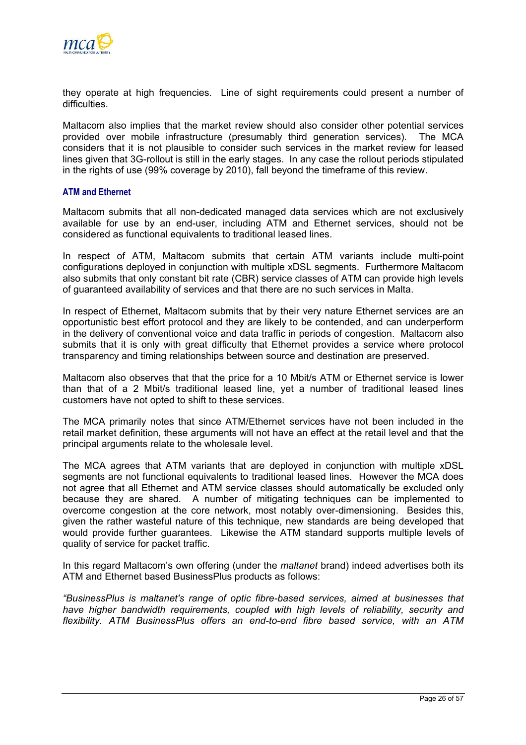

they operate at high frequencies. Line of sight requirements could present a number of difficulties.

Maltacom also implies that the market review should also consider other potential services provided over mobile infrastructure (presumably third generation services). The MCA considers that it is not plausible to consider such services in the market review for leased lines given that 3G-rollout is still in the early stages. In any case the rollout periods stipulated in the rights of use (99% coverage by 2010), fall beyond the timeframe of this review.

#### **ATM and Ethernet**

Maltacom submits that all non-dedicated managed data services which are not exclusively available for use by an end-user, including ATM and Ethernet services, should not be considered as functional equivalents to traditional leased lines.

In respect of ATM, Maltacom submits that certain ATM variants include multi-point configurations deployed in conjunction with multiple xDSL segments. Furthermore Maltacom also submits that only constant bit rate (CBR) service classes of ATM can provide high levels of guaranteed availability of services and that there are no such services in Malta.

In respect of Ethernet, Maltacom submits that by their very nature Ethernet services are an opportunistic best effort protocol and they are likely to be contended, and can underperform in the delivery of conventional voice and data traffic in periods of congestion. Maltacom also submits that it is only with great difficulty that Ethernet provides a service where protocol transparency and timing relationships between source and destination are preserved.

Maltacom also observes that that the price for a 10 Mbit/s ATM or Ethernet service is lower than that of a 2 Mbit/s traditional leased line, yet a number of traditional leased lines customers have not opted to shift to these services.

The MCA primarily notes that since ATM/Ethernet services have not been included in the retail market definition, these arguments will not have an effect at the retail level and that the principal arguments relate to the wholesale level.

The MCA agrees that ATM variants that are deployed in conjunction with multiple xDSL segments are not functional equivalents to traditional leased lines. However the MCA does not agree that all Ethernet and ATM service classes should automatically be excluded only because they are shared. A number of mitigating techniques can be implemented to overcome congestion at the core network, most notably over-dimensioning. Besides this, given the rather wasteful nature of this technique, new standards are being developed that would provide further guarantees. Likewise the ATM standard supports multiple levels of quality of service for packet traffic.

In this regard Maltacom's own offering (under the *maltanet* brand) indeed advertises both its ATM and Ethernet based BusinessPlus products as follows:

*"BusinessPlus is maltanet's range of optic fibre-based services, aimed at businesses that have higher bandwidth requirements, coupled with high levels of reliability, security and flexibility. ATM BusinessPlus offers an end-to-end fibre based service, with an ATM*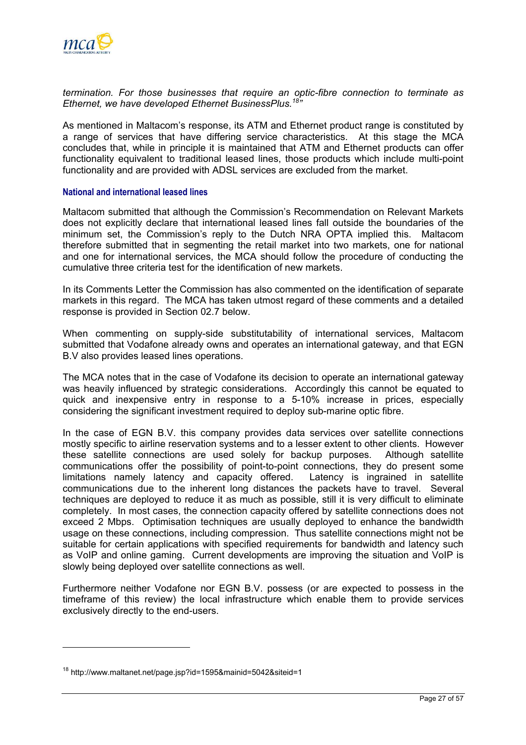

*termination. For those businesses that require an optic-fibre connection to terminate as Ethernet, we have developed Ethernet BusinessPlus.[18"](#page-29-0)* 

As mentioned in Maltacom's response, its ATM and Ethernet product range is constituted by a range of services that have differing service characteristics. At this stage the MCA concludes that, while in principle it is maintained that ATM and Ethernet products can offer functionality equivalent to traditional leased lines, those products which include multi-point functionality and are provided with ADSL services are excluded from the market.

#### **National and international leased lines**

Maltacom submitted that although the Commission's Recommendation on Relevant Markets does not explicitly declare that international leased lines fall outside the boundaries of the minimum set, the Commission's reply to the Dutch NRA OPTA implied this. Maltacom therefore submitted that in segmenting the retail market into two markets, one for national and one for international services, the MCA should follow the procedure of conducting the cumulative three criteria test for the identification of new markets.

In its Comments Letter the Commission has also commented on the identification of separate markets in this regard. The MCA has taken utmost regard of these comments and a detailed response is provided in Section [02.7](#page-31-1) below.

When commenting on supply-side substitutability of international services, Maltacom submitted that Vodafone already owns and operates an international gateway, and that EGN B.V also provides leased lines operations.

The MCA notes that in the case of Vodafone its decision to operate an international gateway was heavily influenced by strategic considerations. Accordingly this cannot be equated to quick and inexpensive entry in response to a 5-10% increase in prices, especially considering the significant investment required to deploy sub-marine optic fibre.

In the case of EGN B.V. this company provides data services over satellite connections mostly specific to airline reservation systems and to a lesser extent to other clients. However these satellite connections are used solely for backup purposes. Although satellite communications offer the possibility of point-to-point connections, they do present some limitations namely latency and capacity offered. Latency is ingrained in satellite limitations namely latency and capacity offered. communications due to the inherent long distances the packets have to travel. Several techniques are deployed to reduce it as much as possible, still it is very difficult to eliminate completely. In most cases, the connection capacity offered by satellite connections does not exceed 2 Mbps. Optimisation techniques are usually deployed to enhance the bandwidth usage on these connections, including compression. Thus satellite connections might not be suitable for certain applications with specified requirements for bandwidth and latency such as VoIP and online gaming. Current developments are improving the situation and VoIP is slowly being deployed over satellite connections as well.

Furthermore neither Vodafone nor EGN B.V. possess (or are expected to possess in the timeframe of this review) the local infrastructure which enable them to provide services exclusively directly to the end-users.

<span id="page-29-0"></span><sup>18</sup> http://www.maltanet.net/page.jsp?id=1595&mainid=5042&siteid=1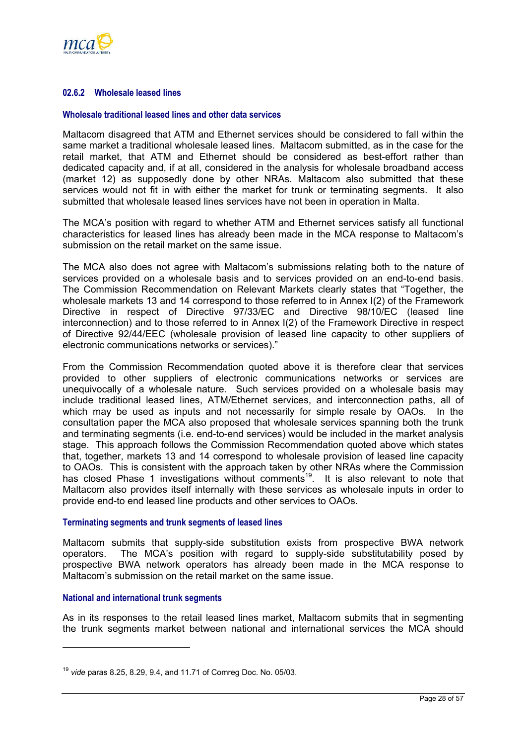

## <span id="page-30-1"></span>**02.6.2 Wholesale leased lines**

#### **Wholesale traditional leased lines and other data services**

Maltacom disagreed that ATM and Ethernet services should be considered to fall within the same market a traditional wholesale leased lines. Maltacom submitted, as in the case for the retail market, that ATM and Ethernet should be considered as best-effort rather than dedicated capacity and, if at all, considered in the analysis for wholesale broadband access (market 12) as supposedly done by other NRAs. Maltacom also submitted that these services would not fit in with either the market for trunk or terminating segments. It also submitted that wholesale leased lines services have not been in operation in Malta.

The MCA's position with regard to whether ATM and Ethernet services satisfy all functional characteristics for leased lines has already been made in the MCA response to Maltacom's submission on the retail market on the same issue.

The MCA also does not agree with Maltacom's submissions relating both to the nature of services provided on a wholesale basis and to services provided on an end-to-end basis. The Commission Recommendation on Relevant Markets clearly states that "Together, the wholesale markets 13 and 14 correspond to those referred to in Annex I(2) of the Framework Directive in respect of Directive 97/33/EC and Directive 98/10/EC (leased line interconnection) and to those referred to in Annex I(2) of the Framework Directive in respect of Directive 92/44/EEC (wholesale provision of leased line capacity to other suppliers of electronic communications networks or services)."

From the Commission Recommendation quoted above it is therefore clear that services provided to other suppliers of electronic communications networks or services are unequivocally of a wholesale nature. Such services provided on a wholesale basis may include traditional leased lines, ATM/Ethernet services, and interconnection paths, all of which may be used as inputs and not necessarily for simple resale by OAOs. In the consultation paper the MCA also proposed that wholesale services spanning both the trunk and terminating segments (i.e. end-to-end services) would be included in the market analysis stage. This approach follows the Commission Recommendation quoted above which states that, together, markets 13 and 14 correspond to wholesale provision of leased line capacity to OAOs. This is consistent with the approach taken by other NRAs where the Commission has closed Phase 1 investigations without comments<sup>19</sup>. It is also relevant to note that Maltacom also provides itself internally with these services as wholesale inputs in order to provide end-to end leased line products and other services to OAOs.

#### **Terminating segments and trunk segments of leased lines**

Maltacom submits that supply-side substitution exists from prospective BWA network operators. The MCA's position with regard to supply-side substitutability posed by prospective BWA network operators has already been made in the MCA response to Maltacom's submission on the retail market on the same issue.

### **National and international trunk segments**

As in its responses to the retail leased lines market, Maltacom submits that in segmenting the trunk segments market between national and international services the MCA should

<span id="page-30-0"></span><sup>19</sup> *vide* paras 8.25, 8.29, 9.4, and 11.71 of Comreg Doc. No. 05/03.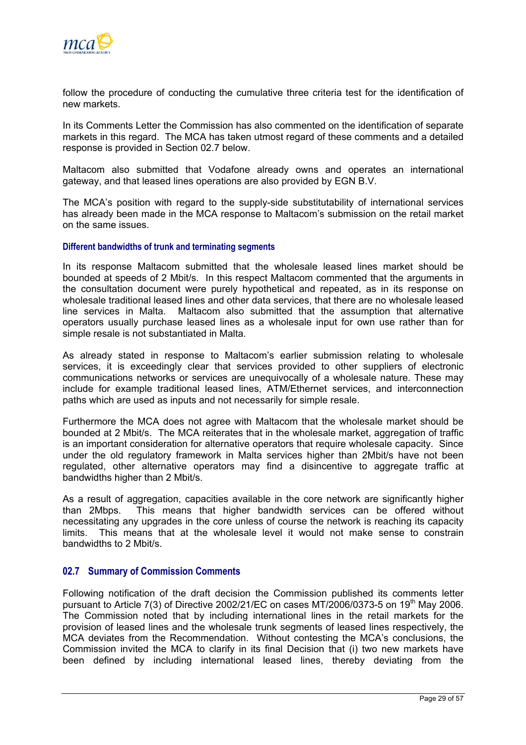<span id="page-31-0"></span>

follow the procedure of conducting the cumulative three criteria test for the identification of new markets.

In its Comments Letter the Commission has also commented on the identification of separate markets in this regard. The MCA has taken utmost regard of these comments and a detailed response is provided in Section [02.7](#page-31-1) below.

Maltacom also submitted that Vodafone already owns and operates an international gateway, and that leased lines operations are also provided by EGN B.V.

The MCA's position with regard to the supply-side substitutability of international services has already been made in the MCA response to Maltacom's submission on the retail market on the same issues.

### **Different bandwidths of trunk and terminating segments**

In its response Maltacom submitted that the wholesale leased lines market should be bounded at speeds of 2 Mbit/s. In this respect Maltacom commented that the arguments in the consultation document were purely hypothetical and repeated, as in its response on wholesale traditional leased lines and other data services, that there are no wholesale leased line services in Malta. Maltacom also submitted that the assumption that alternative operators usually purchase leased lines as a wholesale input for own use rather than for simple resale is not substantiated in Malta.

As already stated in response to Maltacom's earlier submission relating to wholesale services, it is exceedingly clear that services provided to other suppliers of electronic communications networks or services are unequivocally of a wholesale nature. These may include for example traditional leased lines, ATM/Ethernet services, and interconnection paths which are used as inputs and not necessarily for simple resale.

Furthermore the MCA does not agree with Maltacom that the wholesale market should be bounded at 2 Mbit/s. The MCA reiterates that in the wholesale market, aggregation of traffic is an important consideration for alternative operators that require wholesale capacity. Since under the old regulatory framework in Malta services higher than 2Mbit/s have not been regulated, other alternative operators may find a disincentive to aggregate traffic at bandwidths higher than 2 Mbit/s.

As a result of aggregation, capacities available in the core network are significantly higher than 2Mbps. This means that higher bandwidth services can be offered without necessitating any upgrades in the core unless of course the network is reaching its capacity limits. This means that at the wholesale level it would not make sense to constrain bandwidths to 2 Mbit/s.

#### <span id="page-31-1"></span>**02.7 Summary of Commission Comments**

Following notification of the draft decision the Commission published its comments letter pursuant to Article 7(3) of Directive 2002/21/EC on cases MT/2006/0373-5 on 19<sup>th</sup> May 2006. The Commission noted that by including international lines in the retail markets for the provision of leased lines and the wholesale trunk segments of leased lines respectively, the MCA deviates from the Recommendation. Without contesting the MCA's conclusions, the Commission invited the MCA to clarify in its final Decision that (i) two new markets have been defined by including international leased lines, thereby deviating from the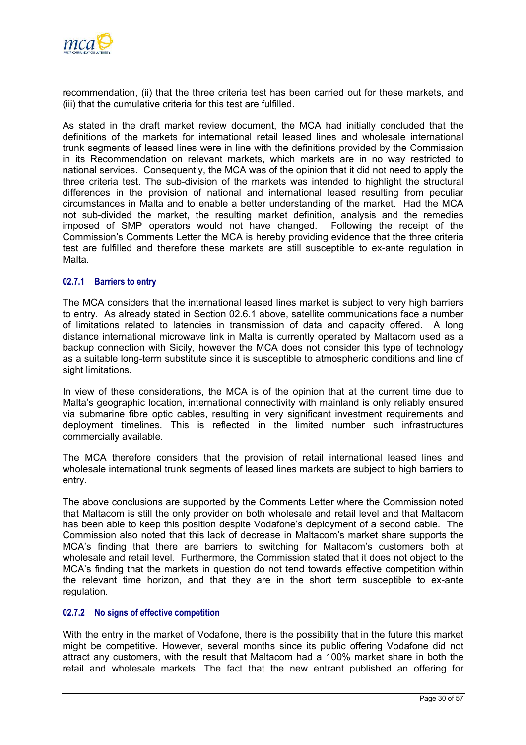

recommendation, (ii) that the three criteria test has been carried out for these markets, and (iii) that the cumulative criteria for this test are fulfilled.

As stated in the draft market review document, the MCA had initially concluded that the definitions of the markets for international retail leased lines and wholesale international trunk segments of leased lines were in line with the definitions provided by the Commission in its Recommendation on relevant markets, which markets are in no way restricted to national services. Consequently, the MCA was of the opinion that it did not need to apply the three criteria test. The sub-division of the markets was intended to highlight the structural differences in the provision of national and international leased resulting from peculiar circumstances in Malta and to enable a better understanding of the market. Had the MCA not sub-divided the market, the resulting market definition, analysis and the remedies imposed of SMP operators would not have changed. Following the receipt of the Commission's Comments Letter the MCA is hereby providing evidence that the three criteria test are fulfilled and therefore these markets are still susceptible to ex-ante regulation in Malta.

#### **02.7.1 Barriers to entry**

The MCA considers that the international leased lines market is subject to very high barriers to entry. As already stated in Section [02.6.1](#page-27-1) above, satellite communications face a number of limitations related to latencies in transmission of data and capacity offered. A long distance international microwave link in Malta is currently operated by Maltacom used as a backup connection with Sicily, however the MCA does not consider this type of technology as a suitable long-term substitute since it is susceptible to atmospheric conditions and line of sight limitations.

In view of these considerations, the MCA is of the opinion that at the current time due to Malta's geographic location, international connectivity with mainland is only reliably ensured via submarine fibre optic cables, resulting in very significant investment requirements and deployment timelines. This is reflected in the limited number such infrastructures commercially available.

The MCA therefore considers that the provision of retail international leased lines and wholesale international trunk segments of leased lines markets are subject to high barriers to entry.

The above conclusions are supported by the Comments Letter where the Commission noted that Maltacom is still the only provider on both wholesale and retail level and that Maltacom has been able to keep this position despite Vodafone's deployment of a second cable. The Commission also noted that this lack of decrease in Maltacom's market share supports the MCA's finding that there are barriers to switching for Maltacom's customers both at wholesale and retail level. Furthermore, the Commission stated that it does not object to the MCA's finding that the markets in question do not tend towards effective competition within the relevant time horizon, and that they are in the short term susceptible to ex-ante regulation.

#### **02.7.2 No signs of effective competition**

With the entry in the market of Vodafone, there is the possibility that in the future this market might be competitive. However, several months since its public offering Vodafone did not attract any customers, with the result that Maltacom had a 100% market share in both the retail and wholesale markets. The fact that the new entrant published an offering for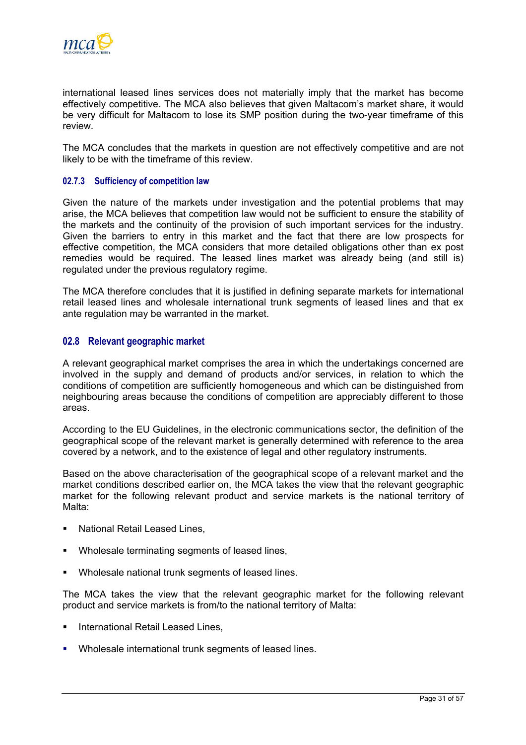<span id="page-33-0"></span>

international leased lines services does not materially imply that the market has become effectively competitive. The MCA also believes that given Maltacom's market share, it would be very difficult for Maltacom to lose its SMP position during the two-year timeframe of this review.

The MCA concludes that the markets in question are not effectively competitive and are not likely to be with the timeframe of this review.

#### **02.7.3 Sufficiency of competition law**

Given the nature of the markets under investigation and the potential problems that may arise, the MCA believes that competition law would not be sufficient to ensure the stability of the markets and the continuity of the provision of such important services for the industry. Given the barriers to entry in this market and the fact that there are low prospects for effective competition, the MCA considers that more detailed obligations other than ex post remedies would be required. The leased lines market was already being (and still is) regulated under the previous regulatory regime.

The MCA therefore concludes that it is justified in defining separate markets for international retail leased lines and wholesale international trunk segments of leased lines and that ex ante regulation may be warranted in the market.

## **02.8 Relevant geographic market**

A relevant geographical market comprises the area in which the undertakings concerned are involved in the supply and demand of products and/or services, in relation to which the conditions of competition are sufficiently homogeneous and which can be distinguished from neighbouring areas because the conditions of competition are appreciably different to those areas.

According to the EU Guidelines, in the electronic communications sector, the definition of the geographical scope of the relevant market is generally determined with reference to the area covered by a network, and to the existence of legal and other regulatory instruments.

Based on the above characterisation of the geographical scope of a relevant market and the market conditions described earlier on, the MCA takes the view that the relevant geographic market for the following relevant product and service markets is the national territory of Malta:

- National Retail Leased Lines,
- Wholesale terminating segments of leased lines,
- Wholesale national trunk segments of leased lines.

The MCA takes the view that the relevant geographic market for the following relevant product and service markets is from/to the national territory of Malta:

- International Retail Leased Lines,
- Wholesale international trunk segments of leased lines.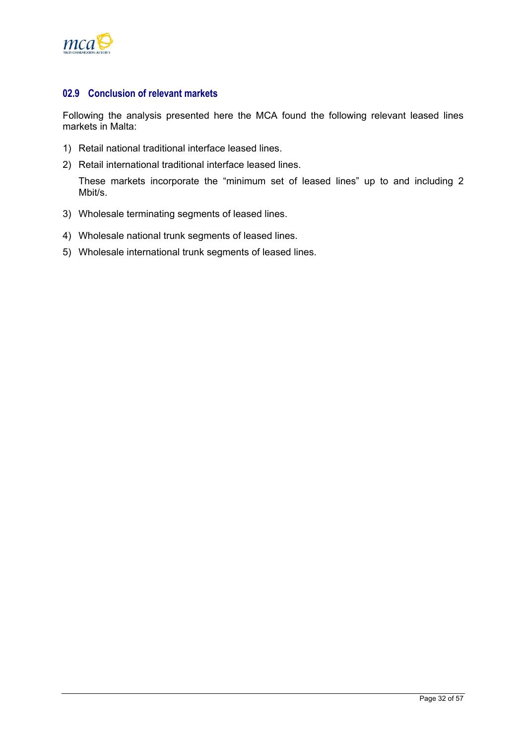<span id="page-34-0"></span>

## **02.9 Conclusion of relevant markets**

Following the analysis presented here the MCA found the following relevant leased lines markets in Malta:

- 1) Retail national traditional interface leased lines.
- 2) Retail international traditional interface leased lines.

These markets incorporate the "minimum set of leased lines" up to and including 2 Mbit/s.

- 3) Wholesale terminating segments of leased lines.
- 4) Wholesale national trunk segments of leased lines.
- 5) Wholesale international trunk segments of leased lines.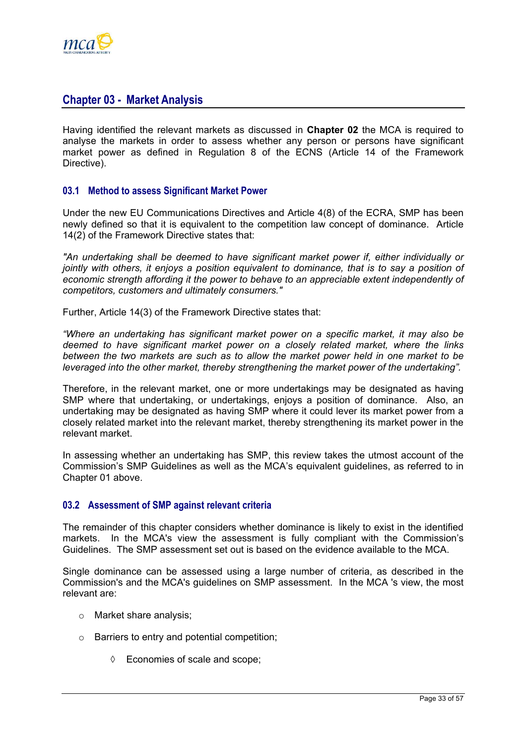<span id="page-35-0"></span>

## **Chapter 03 - Market Analysis**

Having identified the relevant markets as discussed in **Chapter 02** the MCA is required to analyse the markets in order to assess whether any person or persons have significant market power as defined in Regulation 8 of the ECNS (Article 14 of the Framework Directive).

## **03.1 Method to assess Significant Market Power**

Under the new EU Communications Directives and Article 4(8) of the ECRA, SMP has been newly defined so that it is equivalent to the competition law concept of dominance. Article 14(2) of the Framework Directive states that:

*"An undertaking shall be deemed to have significant market power if, either individually or jointly with others, it enjoys a position equivalent to dominance, that is to say a position of economic strength affording it the power to behave to an appreciable extent independently of competitors, customers and ultimately consumers."* 

Further, Article 14(3) of the Framework Directive states that:

*"Where an undertaking has significant market power on a specific market, it may also be deemed to have significant market power on a closely related market, where the links between the two markets are such as to allow the market power held in one market to be leveraged into the other market, thereby strengthening the market power of the undertaking".* 

Therefore, in the relevant market, one or more undertakings may be designated as having SMP where that undertaking, or undertakings, enjoys a position of dominance. Also, an undertaking may be designated as having SMP where it could lever its market power from a closely related market into the relevant market, thereby strengthening its market power in the relevant market.

In assessing whether an undertaking has SMP, this review takes the utmost account of the Commission's SMP Guidelines as well as the MCA's equivalent guidelines, as referred to in Chapter 01 above.

#### **03.2 Assessment of SMP against relevant criteria**

The remainder of this chapter considers whether dominance is likely to exist in the identified markets. In the MCA's view the assessment is fully compliant with the Commission's Guidelines. The SMP assessment set out is based on the evidence available to the MCA.

Single dominance can be assessed using a large number of criteria, as described in the Commission's and the MCA's guidelines on SMP assessment. In the MCA 's view, the most relevant are:

- o Market share analysis;
- o Barriers to entry and potential competition;
	- ◊ Economies of scale and scope;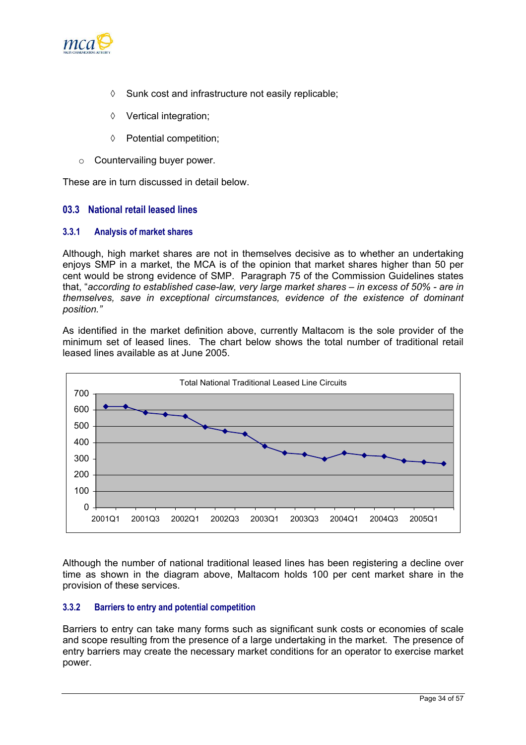<span id="page-36-0"></span>

- ◊ Sunk cost and infrastructure not easily replicable;
- ◊ Vertical integration;
- ◊ Potential competition;
- o Countervailing buyer power.

These are in turn discussed in detail below.

## **03.3 National retail leased lines**

## **3.3.1 Analysis of market shares**

Although, high market shares are not in themselves decisive as to whether an undertaking enjoys SMP in a market, the MCA is of the opinion that market shares higher than 50 per cent would be strong evidence of SMP. Paragraph 75 of the Commission Guidelines states that, "*according to established case-law, very large market shares – in excess of 50% - are in themselves, save in exceptional circumstances, evidence of the existence of dominant position."*

As identified in the market definition above, currently Maltacom is the sole provider of the minimum set of leased lines. The chart below shows the total number of traditional retail leased lines available as at June 2005.



Although the number of national traditional leased lines has been registering a decline over time as shown in the diagram above, Maltacom holds 100 per cent market share in the provision of these services.

## **3.3.2 Barriers to entry and potential competition**

Barriers to entry can take many forms such as significant sunk costs or economies of scale and scope resulting from the presence of a large undertaking in the market. The presence of entry barriers may create the necessary market conditions for an operator to exercise market power.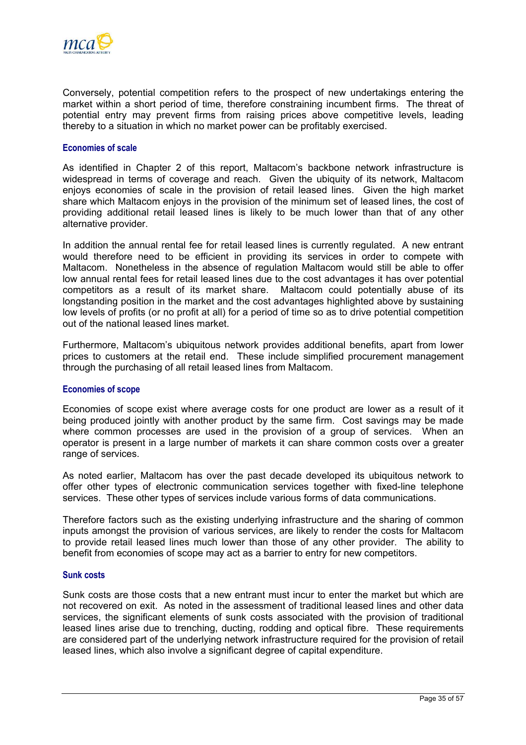

Conversely, potential competition refers to the prospect of new undertakings entering the market within a short period of time, therefore constraining incumbent firms. The threat of potential entry may prevent firms from raising prices above competitive levels, leading thereby to a situation in which no market power can be profitably exercised.

#### **Economies of scale**

As identified in Chapter 2 of this report, Maltacom's backbone network infrastructure is widespread in terms of coverage and reach. Given the ubiquity of its network, Maltacom enjoys economies of scale in the provision of retail leased lines. Given the high market share which Maltacom enjoys in the provision of the minimum set of leased lines, the cost of providing additional retail leased lines is likely to be much lower than that of any other alternative provider.

In addition the annual rental fee for retail leased lines is currently regulated. A new entrant would therefore need to be efficient in providing its services in order to compete with Maltacom. Nonetheless in the absence of regulation Maltacom would still be able to offer low annual rental fees for retail leased lines due to the cost advantages it has over potential competitors as a result of its market share. Maltacom could potentially abuse of its longstanding position in the market and the cost advantages highlighted above by sustaining low levels of profits (or no profit at all) for a period of time so as to drive potential competition out of the national leased lines market.

Furthermore, Maltacom's ubiquitous network provides additional benefits, apart from lower prices to customers at the retail end. These include simplified procurement management through the purchasing of all retail leased lines from Maltacom.

#### **Economies of scope**

Economies of scope exist where average costs for one product are lower as a result of it being produced jointly with another product by the same firm. Cost savings may be made where common processes are used in the provision of a group of services. When an operator is present in a large number of markets it can share common costs over a greater range of services.

As noted earlier, Maltacom has over the past decade developed its ubiquitous network to offer other types of electronic communication services together with fixed-line telephone services. These other types of services include various forms of data communications.

Therefore factors such as the existing underlying infrastructure and the sharing of common inputs amongst the provision of various services, are likely to render the costs for Maltacom to provide retail leased lines much lower than those of any other provider. The ability to benefit from economies of scope may act as a barrier to entry for new competitors.

#### **Sunk costs**

Sunk costs are those costs that a new entrant must incur to enter the market but which are not recovered on exit. As noted in the assessment of traditional leased lines and other data services, the significant elements of sunk costs associated with the provision of traditional leased lines arise due to trenching, ducting, rodding and optical fibre. These requirements are considered part of the underlying network infrastructure required for the provision of retail leased lines, which also involve a significant degree of capital expenditure.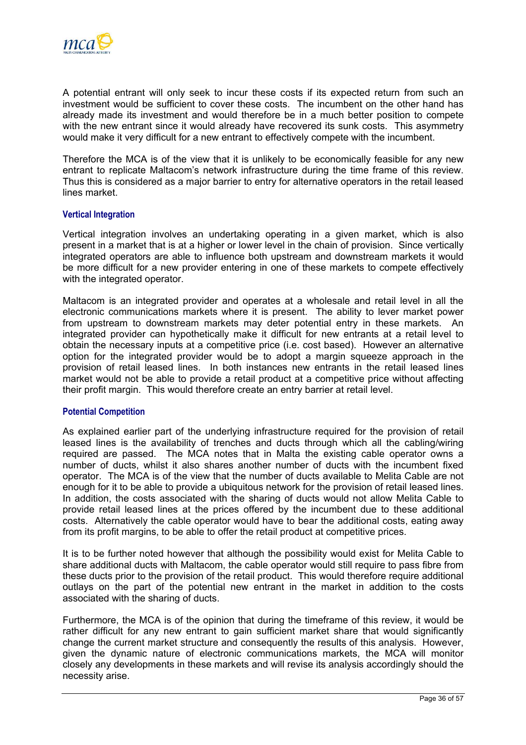

A potential entrant will only seek to incur these costs if its expected return from such an investment would be sufficient to cover these costs. The incumbent on the other hand has already made its investment and would therefore be in a much better position to compete with the new entrant since it would already have recovered its sunk costs. This asymmetry would make it very difficult for a new entrant to effectively compete with the incumbent.

Therefore the MCA is of the view that it is unlikely to be economically feasible for any new entrant to replicate Maltacom's network infrastructure during the time frame of this review. Thus this is considered as a major barrier to entry for alternative operators in the retail leased lines market.

#### **Vertical Integration**

Vertical integration involves an undertaking operating in a given market, which is also present in a market that is at a higher or lower level in the chain of provision. Since vertically integrated operators are able to influence both upstream and downstream markets it would be more difficult for a new provider entering in one of these markets to compete effectively with the integrated operator.

Maltacom is an integrated provider and operates at a wholesale and retail level in all the electronic communications markets where it is present. The ability to lever market power from upstream to downstream markets may deter potential entry in these markets. An integrated provider can hypothetically make it difficult for new entrants at a retail level to obtain the necessary inputs at a competitive price (i.e. cost based). However an alternative option for the integrated provider would be to adopt a margin squeeze approach in the provision of retail leased lines. In both instances new entrants in the retail leased lines market would not be able to provide a retail product at a competitive price without affecting their profit margin. This would therefore create an entry barrier at retail level.

#### **Potential Competition**

As explained earlier part of the underlying infrastructure required for the provision of retail leased lines is the availability of trenches and ducts through which all the cabling/wiring required are passed. The MCA notes that in Malta the existing cable operator owns a number of ducts, whilst it also shares another number of ducts with the incumbent fixed operator. The MCA is of the view that the number of ducts available to Melita Cable are not enough for it to be able to provide a ubiquitous network for the provision of retail leased lines. In addition, the costs associated with the sharing of ducts would not allow Melita Cable to provide retail leased lines at the prices offered by the incumbent due to these additional costs. Alternatively the cable operator would have to bear the additional costs, eating away from its profit margins, to be able to offer the retail product at competitive prices.

It is to be further noted however that although the possibility would exist for Melita Cable to share additional ducts with Maltacom, the cable operator would still require to pass fibre from these ducts prior to the provision of the retail product. This would therefore require additional outlays on the part of the potential new entrant in the market in addition to the costs associated with the sharing of ducts.

Furthermore, the MCA is of the opinion that during the timeframe of this review, it would be rather difficult for any new entrant to gain sufficient market share that would significantly change the current market structure and consequently the results of this analysis. However, given the dynamic nature of electronic communications markets, the MCA will monitor closely any developments in these markets and will revise its analysis accordingly should the necessity arise.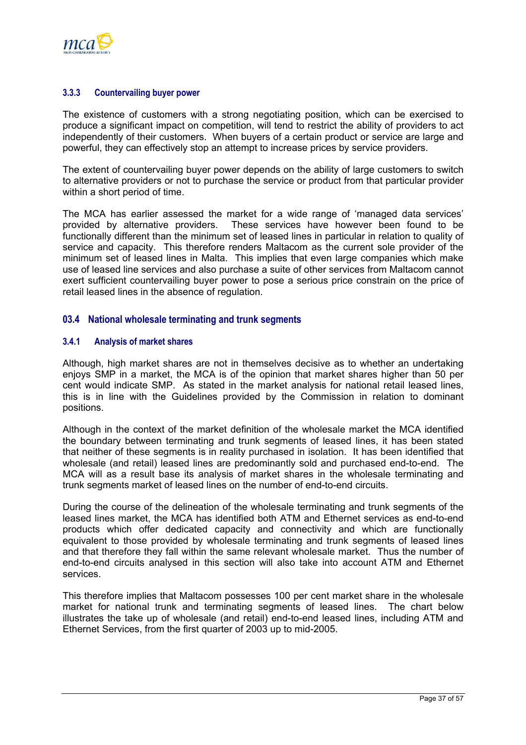<span id="page-39-0"></span>

### **3.3.3 Countervailing buyer power**

The existence of customers with a strong negotiating position, which can be exercised to produce a significant impact on competition, will tend to restrict the ability of providers to act independently of their customers. When buyers of a certain product or service are large and powerful, they can effectively stop an attempt to increase prices by service providers.

The extent of countervailing buyer power depends on the ability of large customers to switch to alternative providers or not to purchase the service or product from that particular provider within a short period of time.

The MCA has earlier assessed the market for a wide range of 'managed data services' provided by alternative providers. These services have however been found to be functionally different than the minimum set of leased lines in particular in relation to quality of service and capacity. This therefore renders Maltacom as the current sole provider of the minimum set of leased lines in Malta. This implies that even large companies which make use of leased line services and also purchase a suite of other services from Maltacom cannot exert sufficient countervailing buyer power to pose a serious price constrain on the price of retail leased lines in the absence of regulation.

## **03.4 National wholesale terminating and trunk segments**

#### **3.4.1 Analysis of market shares**

Although, high market shares are not in themselves decisive as to whether an undertaking enjoys SMP in a market, the MCA is of the opinion that market shares higher than 50 per cent would indicate SMP. As stated in the market analysis for national retail leased lines, this is in line with the Guidelines provided by the Commission in relation to dominant positions.

Although in the context of the market definition of the wholesale market the MCA identified the boundary between terminating and trunk segments of leased lines, it has been stated that neither of these segments is in reality purchased in isolation. It has been identified that wholesale (and retail) leased lines are predominantly sold and purchased end-to-end. The MCA will as a result base its analysis of market shares in the wholesale terminating and trunk segments market of leased lines on the number of end-to-end circuits.

During the course of the delineation of the wholesale terminating and trunk segments of the leased lines market, the MCA has identified both ATM and Ethernet services as end-to-end products which offer dedicated capacity and connectivity and which are functionally equivalent to those provided by wholesale terminating and trunk segments of leased lines and that therefore they fall within the same relevant wholesale market. Thus the number of end-to-end circuits analysed in this section will also take into account ATM and Ethernet services.

This therefore implies that Maltacom possesses 100 per cent market share in the wholesale market for national trunk and terminating segments of leased lines. The chart below illustrates the take up of wholesale (and retail) end-to-end leased lines, including ATM and Ethernet Services, from the first quarter of 2003 up to mid-2005.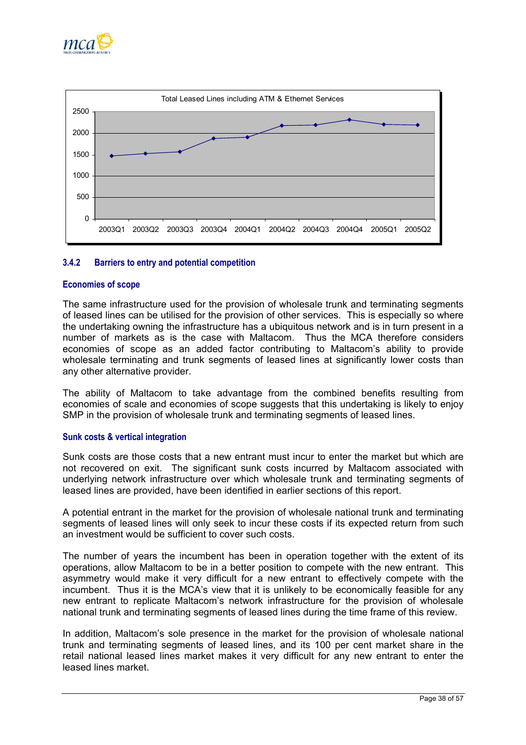



## **3.4.2 Barriers to entry and potential competition**

#### **Economies of scope**

The same infrastructure used for the provision of wholesale trunk and terminating segments of leased lines can be utilised for the provision of other services. This is especially so where the undertaking owning the infrastructure has a ubiquitous network and is in turn present in a number of markets as is the case with Maltacom. Thus the MCA therefore considers economies of scope as an added factor contributing to Maltacom's ability to provide wholesale terminating and trunk segments of leased lines at significantly lower costs than any other alternative provider.

The ability of Maltacom to take advantage from the combined benefits resulting from economies of scale and economies of scope suggests that this undertaking is likely to enjoy SMP in the provision of wholesale trunk and terminating segments of leased lines.

#### **Sunk costs & vertical integration**

Sunk costs are those costs that a new entrant must incur to enter the market but which are not recovered on exit. The significant sunk costs incurred by Maltacom associated with underlying network infrastructure over which wholesale trunk and terminating segments of leased lines are provided, have been identified in earlier sections of this report.

A potential entrant in the market for the provision of wholesale national trunk and terminating segments of leased lines will only seek to incur these costs if its expected return from such an investment would be sufficient to cover such costs.

The number of years the incumbent has been in operation together with the extent of its operations, allow Maltacom to be in a better position to compete with the new entrant. This asymmetry would make it very difficult for a new entrant to effectively compete with the incumbent. Thus it is the MCA's view that it is unlikely to be economically feasible for any new entrant to replicate Maltacom's network infrastructure for the provision of wholesale national trunk and terminating segments of leased lines during the time frame of this review.

In addition, Maltacom's sole presence in the market for the provision of wholesale national trunk and terminating segments of leased lines, and its 100 per cent market share in the retail national leased lines market makes it very difficult for any new entrant to enter the leased lines market.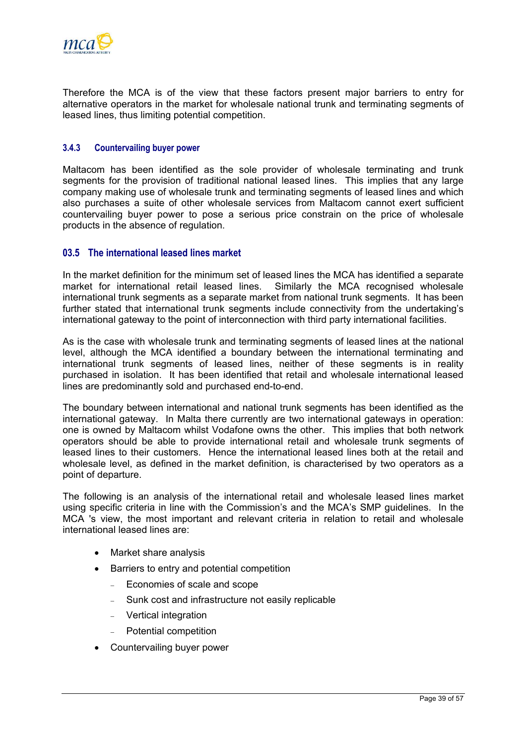<span id="page-41-0"></span>

Therefore the MCA is of the view that these factors present major barriers to entry for alternative operators in the market for wholesale national trunk and terminating segments of leased lines, thus limiting potential competition.

## **3.4.3 Countervailing buyer power**

Maltacom has been identified as the sole provider of wholesale terminating and trunk segments for the provision of traditional national leased lines. This implies that any large company making use of wholesale trunk and terminating segments of leased lines and which also purchases a suite of other wholesale services from Maltacom cannot exert sufficient countervailing buyer power to pose a serious price constrain on the price of wholesale products in the absence of regulation.

## **03.5 The international leased lines market**

In the market definition for the minimum set of leased lines the MCA has identified a separate market for international retail leased lines. Similarly the MCA recognised wholesale international trunk segments as a separate market from national trunk segments. It has been further stated that international trunk segments include connectivity from the undertaking's international gateway to the point of interconnection with third party international facilities.

As is the case with wholesale trunk and terminating segments of leased lines at the national level, although the MCA identified a boundary between the international terminating and international trunk segments of leased lines, neither of these segments is in reality purchased in isolation. It has been identified that retail and wholesale international leased lines are predominantly sold and purchased end-to-end.

The boundary between international and national trunk segments has been identified as the international gateway. In Malta there currently are two international gateways in operation: one is owned by Maltacom whilst Vodafone owns the other. This implies that both network operators should be able to provide international retail and wholesale trunk segments of leased lines to their customers. Hence the international leased lines both at the retail and wholesale level, as defined in the market definition, is characterised by two operators as a point of departure.

The following is an analysis of the international retail and wholesale leased lines market using specific criteria in line with the Commission's and the MCA's SMP guidelines. In the MCA 's view, the most important and relevant criteria in relation to retail and wholesale international leased lines are:

- Market share analysis
- Barriers to entry and potential competition
	- − Economies of scale and scope
	- Sunk cost and infrastructure not easily replicable
	- − Vertical integration
	- − Potential competition
- Countervailing buyer power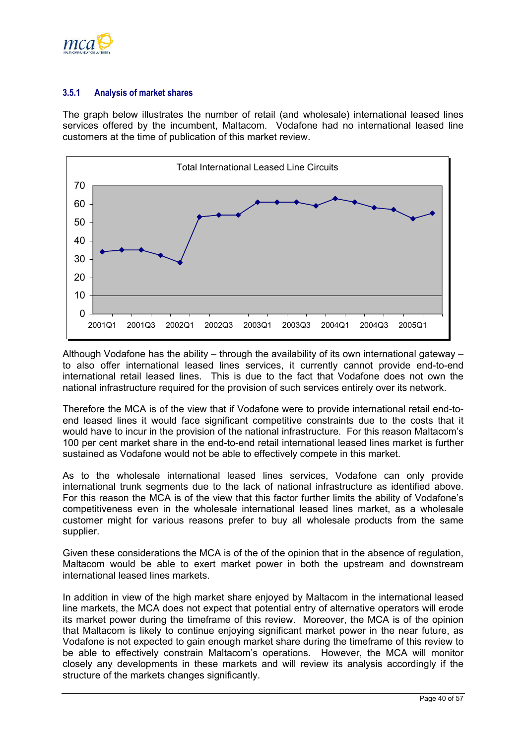

## **3.5.1 Analysis of market shares**

The graph below illustrates the number of retail (and wholesale) international leased lines services offered by the incumbent, Maltacom. Vodafone had no international leased line customers at the time of publication of this market review.



Although Vodafone has the ability – through the availability of its own international gateway – to also offer international leased lines services, it currently cannot provide end-to-end international retail leased lines. This is due to the fact that Vodafone does not own the national infrastructure required for the provision of such services entirely over its network.

Therefore the MCA is of the view that if Vodafone were to provide international retail end-toend leased lines it would face significant competitive constraints due to the costs that it would have to incur in the provision of the national infrastructure. For this reason Maltacom's 100 per cent market share in the end-to-end retail international leased lines market is further sustained as Vodafone would not be able to effectively compete in this market.

As to the wholesale international leased lines services, Vodafone can only provide international trunk segments due to the lack of national infrastructure as identified above. For this reason the MCA is of the view that this factor further limits the ability of Vodafone's competitiveness even in the wholesale international leased lines market, as a wholesale customer might for various reasons prefer to buy all wholesale products from the same supplier.

Given these considerations the MCA is of the of the opinion that in the absence of regulation, Maltacom would be able to exert market power in both the upstream and downstream international leased lines markets.

In addition in view of the high market share enjoyed by Maltacom in the international leased line markets, the MCA does not expect that potential entry of alternative operators will erode its market power during the timeframe of this review. Moreover, the MCA is of the opinion that Maltacom is likely to continue enjoying significant market power in the near future, as Vodafone is not expected to gain enough market share during the timeframe of this review to be able to effectively constrain Maltacom's operations. However, the MCA will monitor closely any developments in these markets and will review its analysis accordingly if the structure of the markets changes significantly.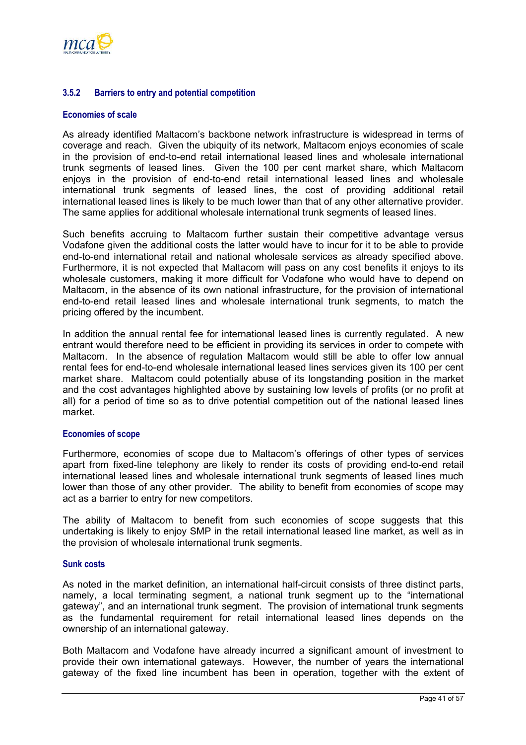

## **3.5.2 Barriers to entry and potential competition**

#### **Economies of scale**

As already identified Maltacom's backbone network infrastructure is widespread in terms of coverage and reach. Given the ubiquity of its network, Maltacom enjoys economies of scale in the provision of end-to-end retail international leased lines and wholesale international trunk segments of leased lines. Given the 100 per cent market share, which Maltacom enjoys in the provision of end-to-end retail international leased lines and wholesale international trunk segments of leased lines, the cost of providing additional retail international leased lines is likely to be much lower than that of any other alternative provider. The same applies for additional wholesale international trunk segments of leased lines.

Such benefits accruing to Maltacom further sustain their competitive advantage versus Vodafone given the additional costs the latter would have to incur for it to be able to provide end-to-end international retail and national wholesale services as already specified above. Furthermore, it is not expected that Maltacom will pass on any cost benefits it enjoys to its wholesale customers, making it more difficult for Vodafone who would have to depend on Maltacom, in the absence of its own national infrastructure, for the provision of international end-to-end retail leased lines and wholesale international trunk segments, to match the pricing offered by the incumbent.

In addition the annual rental fee for international leased lines is currently regulated. A new entrant would therefore need to be efficient in providing its services in order to compete with Maltacom. In the absence of regulation Maltacom would still be able to offer low annual rental fees for end-to-end wholesale international leased lines services given its 100 per cent market share. Maltacom could potentially abuse of its longstanding position in the market and the cost advantages highlighted above by sustaining low levels of profits (or no profit at all) for a period of time so as to drive potential competition out of the national leased lines market.

#### **Economies of scope**

Furthermore, economies of scope due to Maltacom's offerings of other types of services apart from fixed-line telephony are likely to render its costs of providing end-to-end retail international leased lines and wholesale international trunk segments of leased lines much lower than those of any other provider. The ability to benefit from economies of scope may act as a barrier to entry for new competitors.

The ability of Maltacom to benefit from such economies of scope suggests that this undertaking is likely to enjoy SMP in the retail international leased line market, as well as in the provision of wholesale international trunk segments.

#### **Sunk costs**

As noted in the market definition, an international half-circuit consists of three distinct parts, namely, a local terminating segment, a national trunk segment up to the "international gateway", and an international trunk segment. The provision of international trunk segments as the fundamental requirement for retail international leased lines depends on the ownership of an international gateway.

Both Maltacom and Vodafone have already incurred a significant amount of investment to provide their own international gateways. However, the number of years the international gateway of the fixed line incumbent has been in operation, together with the extent of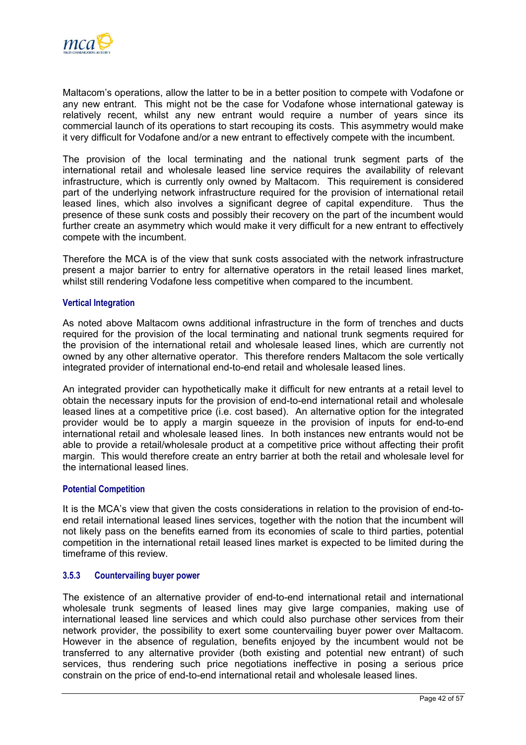

Maltacom's operations, allow the latter to be in a better position to compete with Vodafone or any new entrant. This might not be the case for Vodafone whose international gateway is relatively recent, whilst any new entrant would require a number of years since its commercial launch of its operations to start recouping its costs. This asymmetry would make it very difficult for Vodafone and/or a new entrant to effectively compete with the incumbent.

The provision of the local terminating and the national trunk segment parts of the international retail and wholesale leased line service requires the availability of relevant infrastructure, which is currently only owned by Maltacom. This requirement is considered part of the underlying network infrastructure required for the provision of international retail leased lines, which also involves a significant degree of capital expenditure. Thus the presence of these sunk costs and possibly their recovery on the part of the incumbent would further create an asymmetry which would make it very difficult for a new entrant to effectively compete with the incumbent.

Therefore the MCA is of the view that sunk costs associated with the network infrastructure present a major barrier to entry for alternative operators in the retail leased lines market, whilst still rendering Vodafone less competitive when compared to the incumbent.

#### **Vertical Integration**

As noted above Maltacom owns additional infrastructure in the form of trenches and ducts required for the provision of the local terminating and national trunk segments required for the provision of the international retail and wholesale leased lines, which are currently not owned by any other alternative operator. This therefore renders Maltacom the sole vertically integrated provider of international end-to-end retail and wholesale leased lines.

An integrated provider can hypothetically make it difficult for new entrants at a retail level to obtain the necessary inputs for the provision of end-to-end international retail and wholesale leased lines at a competitive price (i.e. cost based). An alternative option for the integrated provider would be to apply a margin squeeze in the provision of inputs for end-to-end international retail and wholesale leased lines. In both instances new entrants would not be able to provide a retail/wholesale product at a competitive price without affecting their profit margin. This would therefore create an entry barrier at both the retail and wholesale level for the international leased lines.

#### **Potential Competition**

It is the MCA's view that given the costs considerations in relation to the provision of end-toend retail international leased lines services, together with the notion that the incumbent will not likely pass on the benefits earned from its economies of scale to third parties, potential competition in the international retail leased lines market is expected to be limited during the timeframe of this review.

### **3.5.3 Countervailing buyer power**

The existence of an alternative provider of end-to-end international retail and international wholesale trunk segments of leased lines may give large companies, making use of international leased line services and which could also purchase other services from their network provider, the possibility to exert some countervailing buyer power over Maltacom. However in the absence of regulation, benefits enjoyed by the incumbent would not be transferred to any alternative provider (both existing and potential new entrant) of such services, thus rendering such price negotiations ineffective in posing a serious price constrain on the price of end-to-end international retail and wholesale leased lines.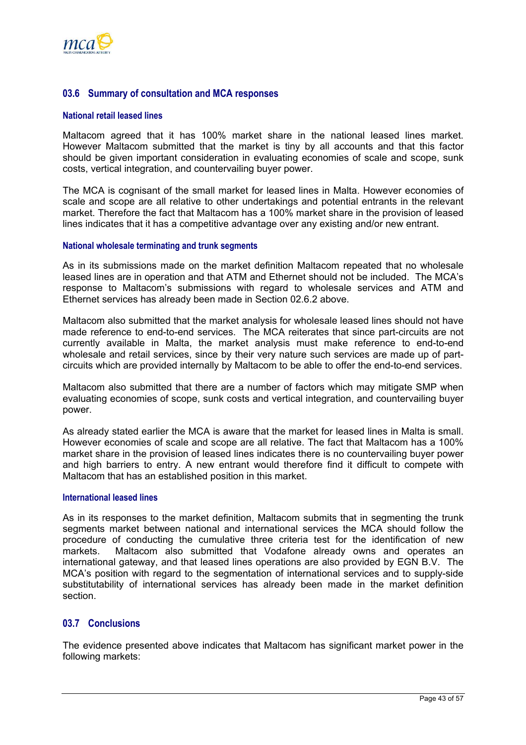<span id="page-45-0"></span>

## **03.6 Summary of consultation and MCA responses**

#### **National retail leased lines**

Maltacom agreed that it has 100% market share in the national leased lines market. However Maltacom submitted that the market is tiny by all accounts and that this factor should be given important consideration in evaluating economies of scale and scope, sunk costs, vertical integration, and countervailing buyer power.

The MCA is cognisant of the small market for leased lines in Malta. However economies of scale and scope are all relative to other undertakings and potential entrants in the relevant market. Therefore the fact that Maltacom has a 100% market share in the provision of leased lines indicates that it has a competitive advantage over any existing and/or new entrant.

#### **National wholesale terminating and trunk segments**

As in its submissions made on the market definition Maltacom repeated that no wholesale leased lines are in operation and that ATM and Ethernet should not be included. The MCA's response to Maltacom's submissions with regard to wholesale services and ATM and Ethernet services has already been made in Section [02.6.2](#page-30-1) above.

Maltacom also submitted that the market analysis for wholesale leased lines should not have made reference to end-to-end services. The MCA reiterates that since part-circuits are not currently available in Malta, the market analysis must make reference to end-to-end wholesale and retail services, since by their very nature such services are made up of partcircuits which are provided internally by Maltacom to be able to offer the end-to-end services.

Maltacom also submitted that there are a number of factors which may mitigate SMP when evaluating economies of scope, sunk costs and vertical integration, and countervailing buyer power.

As already stated earlier the MCA is aware that the market for leased lines in Malta is small. However economies of scale and scope are all relative. The fact that Maltacom has a 100% market share in the provision of leased lines indicates there is no countervailing buyer power and high barriers to entry. A new entrant would therefore find it difficult to compete with Maltacom that has an established position in this market.

#### **International leased lines**

As in its responses to the market definition, Maltacom submits that in segmenting the trunk segments market between national and international services the MCA should follow the procedure of conducting the cumulative three criteria test for the identification of new markets. Maltacom also submitted that Vodafone already owns and operates an international gateway, and that leased lines operations are also provided by EGN B.V. The MCA's position with regard to the segmentation of international services and to supply-side substitutability of international services has already been made in the market definition section.

#### **03.7 Conclusions**

The evidence presented above indicates that Maltacom has significant market power in the following markets: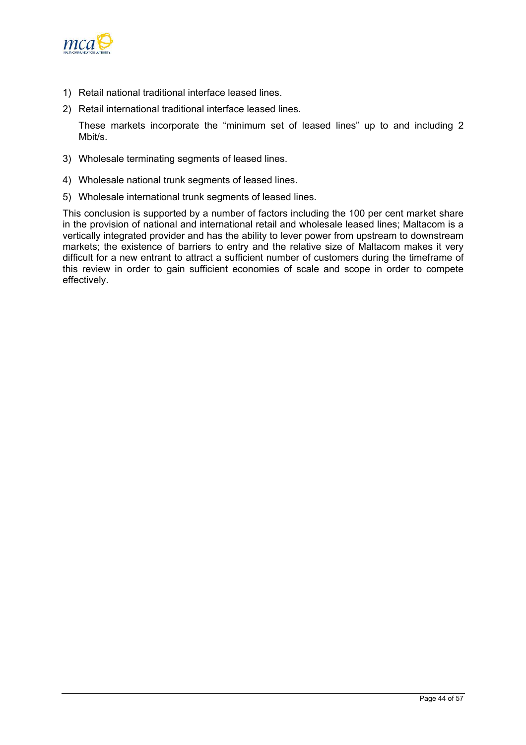

- 1) Retail national traditional interface leased lines.
- 2) Retail international traditional interface leased lines.

These markets incorporate the "minimum set of leased lines" up to and including 2 Mbit/s.

- 3) Wholesale terminating segments of leased lines.
- 4) Wholesale national trunk segments of leased lines.
- 5) Wholesale international trunk segments of leased lines.

This conclusion is supported by a number of factors including the 100 per cent market share in the provision of national and international retail and wholesale leased lines; Maltacom is a vertically integrated provider and has the ability to lever power from upstream to downstream markets; the existence of barriers to entry and the relative size of Maltacom makes it very difficult for a new entrant to attract a sufficient number of customers during the timeframe of this review in order to gain sufficient economies of scale and scope in order to compete effectively.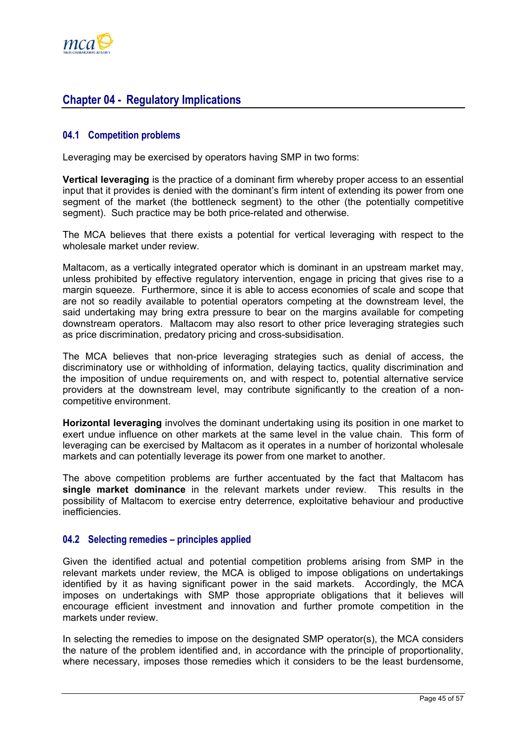<span id="page-47-0"></span>

## **Chapter 04 - Regulatory Implications**

## **04.1 Competition problems**

Leveraging may be exercised by operators having SMP in two forms:

**Vertical leveraging** is the practice of a dominant firm whereby proper access to an essential input that it provides is denied with the dominant's firm intent of extending its power from one segment of the market (the bottleneck segment) to the other (the potentially competitive segment). Such practice may be both price-related and otherwise.

The MCA believes that there exists a potential for vertical leveraging with respect to the wholesale market under review.

Maltacom, as a vertically integrated operator which is dominant in an upstream market may, unless prohibited by effective regulatory intervention, engage in pricing that gives rise to a margin squeeze. Furthermore, since it is able to access economies of scale and scope that are not so readily available to potential operators competing at the downstream level, the said undertaking may bring extra pressure to bear on the margins available for competing downstream operators. Maltacom may also resort to other price leveraging strategies such as price discrimination, predatory pricing and cross-subsidisation.

The MCA believes that non-price leveraging strategies such as denial of access, the discriminatory use or withholding of information, delaying tactics, quality discrimination and the imposition of undue requirements on, and with respect to, potential alternative service providers at the downstream level, may contribute significantly to the creation of a noncompetitive environment.

**Horizontal leveraging** involves the dominant undertaking using its position in one market to exert undue influence on other markets at the same level in the value chain. This form of leveraging can be exercised by Maltacom as it operates in a number of horizontal wholesale markets and can potentially leverage its power from one market to another.

The above competition problems are further accentuated by the fact that Maltacom has **single market dominance** in the relevant markets under review. This results in the possibility of Maltacom to exercise entry deterrence, exploitative behaviour and productive inefficiencies.

## **04.2 Selecting remedies – principles applied**

Given the identified actual and potential competition problems arising from SMP in the relevant markets under review, the MCA is obliged to impose obligations on undertakings identified by it as having significant power in the said markets. Accordingly, the MCA imposes on undertakings with SMP those appropriate obligations that it believes will encourage efficient investment and innovation and further promote competition in the markets under review.

In selecting the remedies to impose on the designated SMP operator(s), the MCA considers the nature of the problem identified and, in accordance with the principle of proportionality, where necessary, imposes those remedies which it considers to be the least burdensome,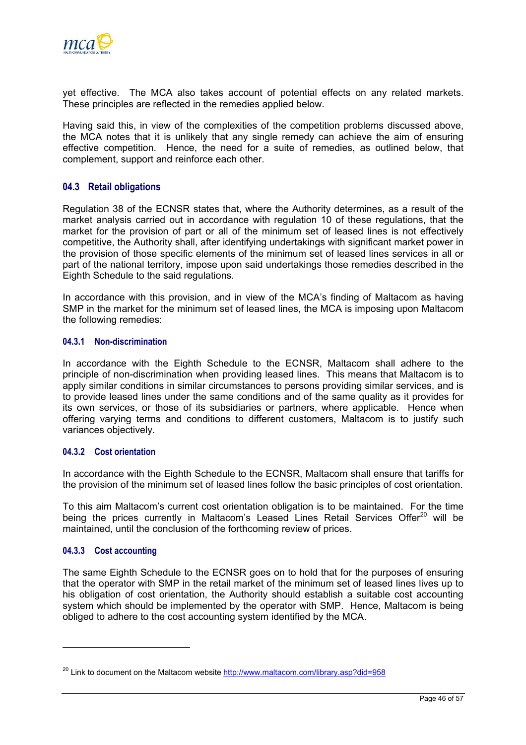<span id="page-48-0"></span>

yet effective. The MCA also takes account of potential effects on any related markets. These principles are reflected in the remedies applied below.

Having said this, in view of the complexities of the competition problems discussed above, the MCA notes that it is unlikely that any single remedy can achieve the aim of ensuring effective competition. Hence, the need for a suite of remedies, as outlined below, that complement, support and reinforce each other.

#### **04.3 Retail obligations**

Regulation 38 of the ECNSR states that, where the Authority determines, as a result of the market analysis carried out in accordance with regulation 10 of these regulations, that the market for the provision of part or all of the minimum set of leased lines is not effectively competitive, the Authority shall, after identifying undertakings with significant market power in the provision of those specific elements of the minimum set of leased lines services in all or part of the national territory, impose upon said undertakings those remedies described in the Eighth Schedule to the said regulations.

In accordance with this provision, and in view of the MCA's finding of Maltacom as having SMP in the market for the minimum set of leased lines, the MCA is imposing upon Maltacom the following remedies:

#### **04.3.1 Non-discrimination**

In accordance with the Eighth Schedule to the ECNSR, Maltacom shall adhere to the principle of non-discrimination when providing leased lines. This means that Maltacom is to apply similar conditions in similar circumstances to persons providing similar services, and is to provide leased lines under the same conditions and of the same quality as it provides for its own services, or those of its subsidiaries or partners, where applicable. Hence when offering varying terms and conditions to different customers, Maltacom is to justify such variances objectively.

#### **04.3.2 Cost orientation**

In accordance with the Eighth Schedule to the ECNSR, Maltacom shall ensure that tariffs for the provision of the minimum set of leased lines follow the basic principles of cost orientation.

To this aim Maltacom's current cost orientation obligation is to be maintained. For the time being the prices currently in Maltacom's Leased Lines Retail Services Offer<sup>20</sup> will be maintained, until the conclusion of the forthcoming review of prices.

## **04.3.3 Cost accounting**

The same Eighth Schedule to the ECNSR goes on to hold that for the purposes of ensuring that the operator with SMP in the retail market of the minimum set of leased lines lives up to his obligation of cost orientation, the Authority should establish a suitable cost accounting system which should be implemented by the operator with SMP. Hence, Maltacom is being obliged to adhere to the cost accounting system identified by the MCA.

<span id="page-48-1"></span> $^{20}$  Link to document on the Maltacom website <http://www.maltacom.com/library.asp?did=958>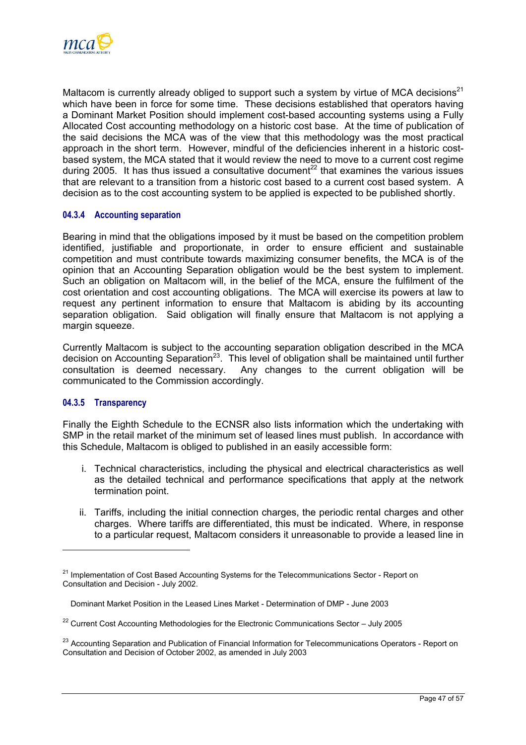

Maltacom is currently already obliged to support such a system by virtue of MCA decisions<sup>[21](#page-49-0)</sup> which have been in force for some time. These decisions established that operators having a Dominant Market Position should implement cost-based accounting systems using a Fully Allocated Cost accounting methodology on a historic cost base. At the time of publication of the said decisions the MCA was of the view that this methodology was the most practical approach in the short term. However, mindful of the deficiencies inherent in a historic costbased system, the MCA stated that it would review the need to move to a current cost regime during  $2005$ . It has thus issued a consultative document<sup>[22](#page-49-1)</sup> that examines the various issues that are relevant to a transition from a historic cost based to a current cost based system. A decision as to the cost accounting system to be applied is expected to be published shortly.

## **04.3.4 Accounting separation**

Bearing in mind that the obligations imposed by it must be based on the competition problem identified, justifiable and proportionate, in order to ensure efficient and sustainable competition and must contribute towards maximizing consumer benefits, the MCA is of the opinion that an Accounting Separation obligation would be the best system to implement. Such an obligation on Maltacom will, in the belief of the MCA, ensure the fulfilment of the cost orientation and cost accounting obligations. The MCA will exercise its powers at law to request any pertinent information to ensure that Maltacom is abiding by its accounting separation obligation. Said obligation will finally ensure that Maltacom is not applying a margin squeeze.

Currently Maltacom is subject to the accounting separation obligation described in the MCA decision on Accounting Separation<sup>23</sup>. This level of obligation shall be maintained until further consultation is deemed necessary. Any changes to the current obligation will be communicated to the Commission accordingly.

### **04.3.5 Transparency**

 $\overline{a}$ 

Finally the Eighth Schedule to the ECNSR also lists information which the undertaking with SMP in the retail market of the minimum set of leased lines must publish. In accordance with this Schedule, Maltacom is obliged to published in an easily accessible form:

- i. Technical characteristics, including the physical and electrical characteristics as well as the detailed technical and performance specifications that apply at the network termination point.
- ii. Tariffs, including the initial connection charges, the periodic rental charges and other charges. Where tariffs are differentiated, this must be indicated. Where, in response to a particular request, Maltacom considers it unreasonable to provide a leased line in

<span id="page-49-0"></span><sup>&</sup>lt;sup>21</sup> Implementation of Cost Based Accounting Systems for the Telecommunications Sector - Report on Consultation and Decision - July 2002.

Dominant Market Position in the Leased Lines Market - Determination of DMP - June 2003

<span id="page-49-1"></span> $22$  Current Cost Accounting Methodologies for the Electronic Communications Sector – July 2005

<span id="page-49-2"></span><sup>&</sup>lt;sup>23</sup> Accounting Separation and Publication of Financial Information for Telecommunications Operators - Report on Consultation and Decision of October 2002, as amended in July 2003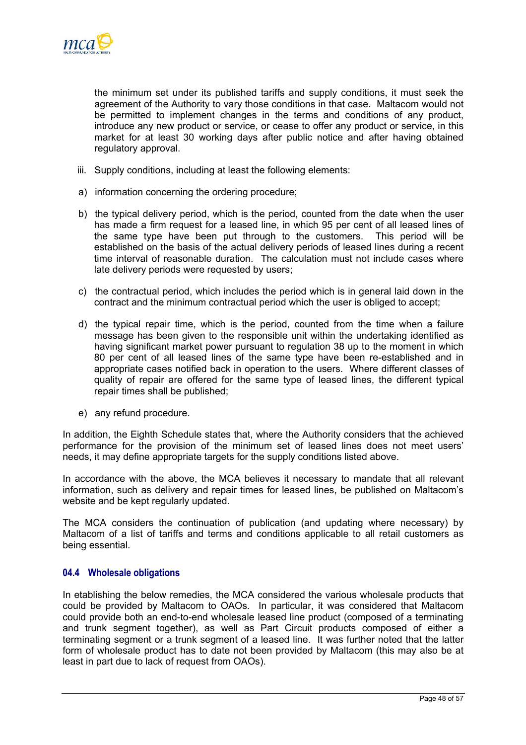<span id="page-50-0"></span>

the minimum set under its published tariffs and supply conditions, it must seek the agreement of the Authority to vary those conditions in that case. Maltacom would not be permitted to implement changes in the terms and conditions of any product, introduce any new product or service, or cease to offer any product or service, in this market for at least 30 working days after public notice and after having obtained regulatory approval.

- iii. Supply conditions, including at least the following elements:
- a) information concerning the ordering procedure;
- b) the typical delivery period, which is the period, counted from the date when the user has made a firm request for a leased line, in which 95 per cent of all leased lines of the same type have been put through to the customers. This period will be established on the basis of the actual delivery periods of leased lines during a recent time interval of reasonable duration. The calculation must not include cases where late delivery periods were requested by users;
- c) the contractual period, which includes the period which is in general laid down in the contract and the minimum contractual period which the user is obliged to accept;
- d) the typical repair time, which is the period, counted from the time when a failure message has been given to the responsible unit within the undertaking identified as having significant market power pursuant to regulation 38 up to the moment in which 80 per cent of all leased lines of the same type have been re-established and in appropriate cases notified back in operation to the users. Where different classes of quality of repair are offered for the same type of leased lines, the different typical repair times shall be published;
- e) any refund procedure.

In addition, the Eighth Schedule states that, where the Authority considers that the achieved performance for the provision of the minimum set of leased lines does not meet users' needs, it may define appropriate targets for the supply conditions listed above.

In accordance with the above, the MCA believes it necessary to mandate that all relevant information, such as delivery and repair times for leased lines, be published on Maltacom's website and be kept regularly updated.

The MCA considers the continuation of publication (and updating where necessary) by Maltacom of a list of tariffs and terms and conditions applicable to all retail customers as being essential.

## **04.4 Wholesale obligations**

In etablishing the below remedies, the MCA considered the various wholesale products that could be provided by Maltacom to OAOs. In particular, it was considered that Maltacom could provide both an end-to-end wholesale leased line product (composed of a terminating and trunk segment together), as well as Part Circuit products composed of either a terminating segment or a trunk segment of a leased line. It was further noted that the latter form of wholesale product has to date not been provided by Maltacom (this may also be at least in part due to lack of request from OAOs).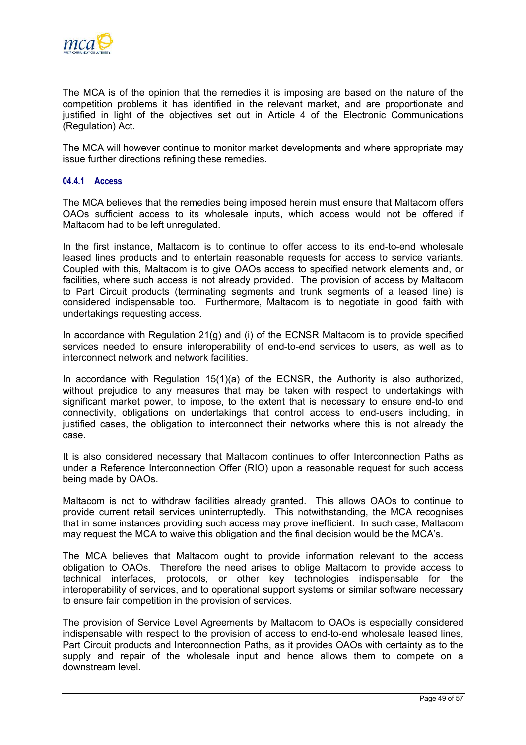

The MCA is of the opinion that the remedies it is imposing are based on the nature of the competition problems it has identified in the relevant market, and are proportionate and justified in light of the objectives set out in Article 4 of the Electronic Communications (Regulation) Act.

The MCA will however continue to monitor market developments and where appropriate may issue further directions refining these remedies.

#### **04.4.1 Access**

The MCA believes that the remedies being imposed herein must ensure that Maltacom offers OAOs sufficient access to its wholesale inputs, which access would not be offered if Maltacom had to be left unregulated.

In the first instance, Maltacom is to continue to offer access to its end-to-end wholesale leased lines products and to entertain reasonable requests for access to service variants. Coupled with this, Maltacom is to give OAOs access to specified network elements and, or facilities, where such access is not already provided. The provision of access by Maltacom to Part Circuit products (terminating segments and trunk segments of a leased line) is considered indispensable too. Furthermore, Maltacom is to negotiate in good faith with undertakings requesting access.

In accordance with Regulation 21(g) and (i) of the ECNSR Maltacom is to provide specified services needed to ensure interoperability of end-to-end services to users, as well as to interconnect network and network facilities.

In accordance with Regulation 15(1)(a) of the ECNSR, the Authority is also authorized, without prejudice to any measures that may be taken with respect to undertakings with significant market power, to impose, to the extent that is necessary to ensure end-to end connectivity, obligations on undertakings that control access to end-users including, in justified cases, the obligation to interconnect their networks where this is not already the case.

It is also considered necessary that Maltacom continues to offer Interconnection Paths as under a Reference Interconnection Offer (RIO) upon a reasonable request for such access being made by OAOs.

Maltacom is not to withdraw facilities already granted. This allows OAOs to continue to provide current retail services uninterruptedly. This notwithstanding, the MCA recognises that in some instances providing such access may prove inefficient. In such case, Maltacom may request the MCA to waive this obligation and the final decision would be the MCA's.

The MCA believes that Maltacom ought to provide information relevant to the access obligation to OAOs. Therefore the need arises to oblige Maltacom to provide access to technical interfaces, protocols, or other key technologies indispensable for the interoperability of services, and to operational support systems or similar software necessary to ensure fair competition in the provision of services.

The provision of Service Level Agreements by Maltacom to OAOs is especially considered indispensable with respect to the provision of access to end-to-end wholesale leased lines, Part Circuit products and Interconnection Paths, as it provides OAOs with certainty as to the supply and repair of the wholesale input and hence allows them to compete on a downstream level.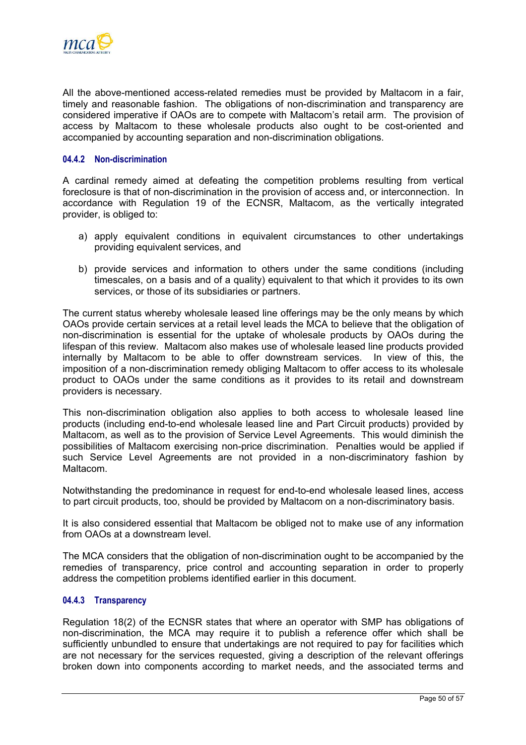

All the above-mentioned access-related remedies must be provided by Maltacom in a fair, timely and reasonable fashion. The obligations of non-discrimination and transparency are considered imperative if OAOs are to compete with Maltacom's retail arm. The provision of access by Maltacom to these wholesale products also ought to be cost-oriented and accompanied by accounting separation and non-discrimination obligations.

#### **04.4.2 Non-discrimination**

A cardinal remedy aimed at defeating the competition problems resulting from vertical foreclosure is that of non-discrimination in the provision of access and, or interconnection. In accordance with Regulation 19 of the ECNSR, Maltacom, as the vertically integrated provider, is obliged to:

- a) apply equivalent conditions in equivalent circumstances to other undertakings providing equivalent services, and
- b) provide services and information to others under the same conditions (including timescales, on a basis and of a quality) equivalent to that which it provides to its own services, or those of its subsidiaries or partners.

The current status whereby wholesale leased line offerings may be the only means by which OAOs provide certain services at a retail level leads the MCA to believe that the obligation of non-discrimination is essential for the uptake of wholesale products by OAOs during the lifespan of this review. Maltacom also makes use of wholesale leased line products provided internally by Maltacom to be able to offer downstream services. In view of this, the imposition of a non-discrimination remedy obliging Maltacom to offer access to its wholesale product to OAOs under the same conditions as it provides to its retail and downstream providers is necessary.

This non-discrimination obligation also applies to both access to wholesale leased line products (including end-to-end wholesale leased line and Part Circuit products) provided by Maltacom, as well as to the provision of Service Level Agreements. This would diminish the possibilities of Maltacom exercising non-price discrimination. Penalties would be applied if such Service Level Agreements are not provided in a non-discriminatory fashion by Maltacom.

Notwithstanding the predominance in request for end-to-end wholesale leased lines, access to part circuit products, too, should be provided by Maltacom on a non-discriminatory basis.

It is also considered essential that Maltacom be obliged not to make use of any information from OAOs at a downstream level.

The MCA considers that the obligation of non-discrimination ought to be accompanied by the remedies of transparency, price control and accounting separation in order to properly address the competition problems identified earlier in this document.

#### **04.4.3 Transparency**

Regulation 18(2) of the ECNSR states that where an operator with SMP has obligations of non-discrimination, the MCA may require it to publish a reference offer which shall be sufficiently unbundled to ensure that undertakings are not required to pay for facilities which are not necessary for the services requested, giving a description of the relevant offerings broken down into components according to market needs, and the associated terms and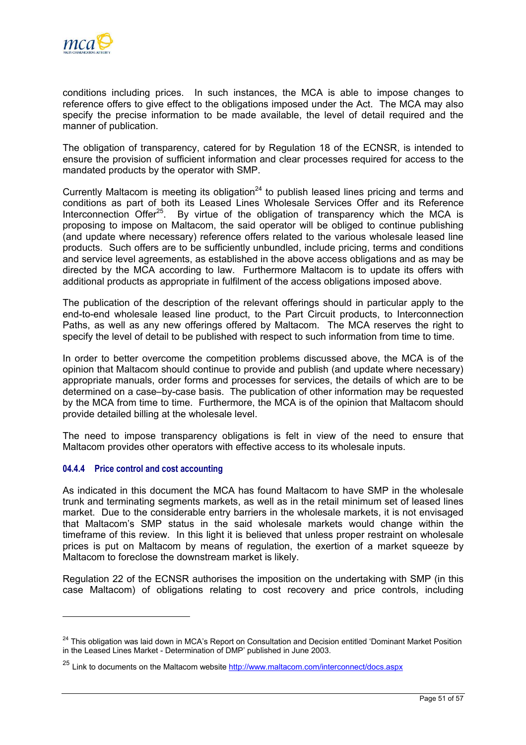

conditions including prices. In such instances, the MCA is able to impose changes to reference offers to give effect to the obligations imposed under the Act. The MCA may also specify the precise information to be made available, the level of detail required and the manner of publication.

The obligation of transparency, catered for by Regulation 18 of the ECNSR, is intended to ensure the provision of sufficient information and clear processes required for access to the mandated products by the operator with SMP.

Currently Maltacom is meeting its obligation<sup>24</sup> to publish leased lines pricing and terms and conditions as part of both its Leased Lines Wholesale Services Offer and its Reference Interconnection Offer<sup>25</sup>. By virtue of the obligation of transparency which the MCA is proposing to impose on Maltacom, the said operator will be obliged to continue publishing (and update where necessary) reference offers related to the various wholesale leased line products. Such offers are to be sufficiently unbundled, include pricing, terms and conditions and service level agreements, as established in the above access obligations and as may be directed by the MCA according to law. Furthermore Maltacom is to update its offers with additional products as appropriate in fulfilment of the access obligations imposed above.

The publication of the description of the relevant offerings should in particular apply to the end-to-end wholesale leased line product, to the Part Circuit products, to Interconnection Paths, as well as any new offerings offered by Maltacom. The MCA reserves the right to specify the level of detail to be published with respect to such information from time to time.

In order to better overcome the competition problems discussed above, the MCA is of the opinion that Maltacom should continue to provide and publish (and update where necessary) appropriate manuals, order forms and processes for services, the details of which are to be determined on a case–by-case basis. The publication of other information may be requested by the MCA from time to time. Furthermore, the MCA is of the opinion that Maltacom should provide detailed billing at the wholesale level.

The need to impose transparency obligations is felt in view of the need to ensure that Maltacom provides other operators with effective access to its wholesale inputs.

## **04.4.4 Price control and cost accounting**

 $\overline{a}$ 

As indicated in this document the MCA has found Maltacom to have SMP in the wholesale trunk and terminating segments markets, as well as in the retail minimum set of leased lines market. Due to the considerable entry barriers in the wholesale markets, it is not envisaged that Maltacom's SMP status in the said wholesale markets would change within the timeframe of this review. In this light it is believed that unless proper restraint on wholesale prices is put on Maltacom by means of regulation, the exertion of a market squeeze by Maltacom to foreclose the downstream market is likely.

Regulation 22 of the ECNSR authorises the imposition on the undertaking with SMP (in this case Maltacom) of obligations relating to cost recovery and price controls, including

<span id="page-53-0"></span><sup>&</sup>lt;sup>24</sup> This obligation was laid down in MCA's Report on Consultation and Decision entitled 'Dominant Market Position in the Leased Lines Market - Determination of DMP' published in June 2003.

<span id="page-53-1"></span><sup>&</sup>lt;sup>25</sup> Link to documents on the Maltacom website <http://www.maltacom.com/interconnect/docs.aspx>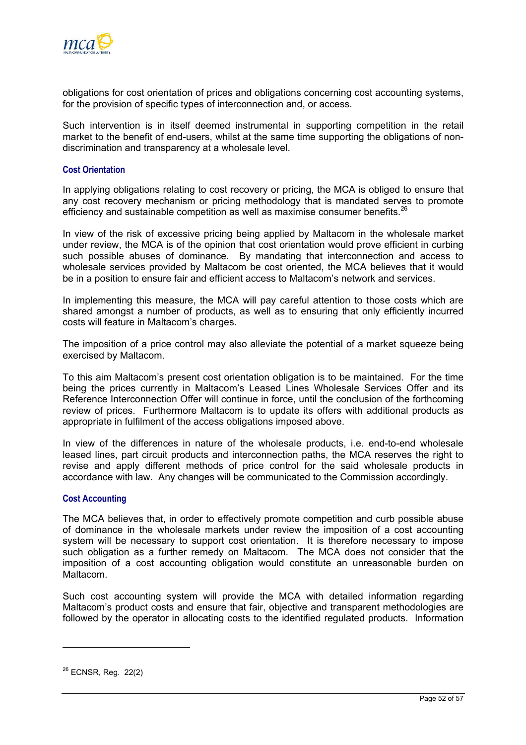

obligations for cost orientation of prices and obligations concerning cost accounting systems, for the provision of specific types of interconnection and, or access.

Such intervention is in itself deemed instrumental in supporting competition in the retail market to the benefit of end-users, whilst at the same time supporting the obligations of nondiscrimination and transparency at a wholesale level.

#### **Cost Orientation**

In applying obligations relating to cost recovery or pricing, the MCA is obliged to ensure that any cost recovery mechanism or pricing methodology that is mandated serves to promote efficiency and sustainable competition as well as maximise consumer benefits. $26$ 

In view of the risk of excessive pricing being applied by Maltacom in the wholesale market under review, the MCA is of the opinion that cost orientation would prove efficient in curbing such possible abuses of dominance. By mandating that interconnection and access to wholesale services provided by Maltacom be cost oriented, the MCA believes that it would be in a position to ensure fair and efficient access to Maltacom's network and services.

In implementing this measure, the MCA will pay careful attention to those costs which are shared amongst a number of products, as well as to ensuring that only efficiently incurred costs will feature in Maltacom's charges.

The imposition of a price control may also alleviate the potential of a market squeeze being exercised by Maltacom.

To this aim Maltacom's present cost orientation obligation is to be maintained. For the time being the prices currently in Maltacom's Leased Lines Wholesale Services Offer and its Reference Interconnection Offer will continue in force, until the conclusion of the forthcoming review of prices. Furthermore Maltacom is to update its offers with additional products as appropriate in fulfilment of the access obligations imposed above.

In view of the differences in nature of the wholesale products, i.e. end-to-end wholesale leased lines, part circuit products and interconnection paths, the MCA reserves the right to revise and apply different methods of price control for the said wholesale products in accordance with law. Any changes will be communicated to the Commission accordingly.

#### **Cost Accounting**

The MCA believes that, in order to effectively promote competition and curb possible abuse of dominance in the wholesale markets under review the imposition of a cost accounting system will be necessary to support cost orientation. It is therefore necessary to impose such obligation as a further remedy on Maltacom. The MCA does not consider that the imposition of a cost accounting obligation would constitute an unreasonable burden on Maltacom.

Such cost accounting system will provide the MCA with detailed information regarding Maltacom's product costs and ensure that fair, objective and transparent methodologies are followed by the operator in allocating costs to the identified regulated products. Information

<span id="page-54-0"></span><sup>26</sup> ECNSR, Reg. 22(2)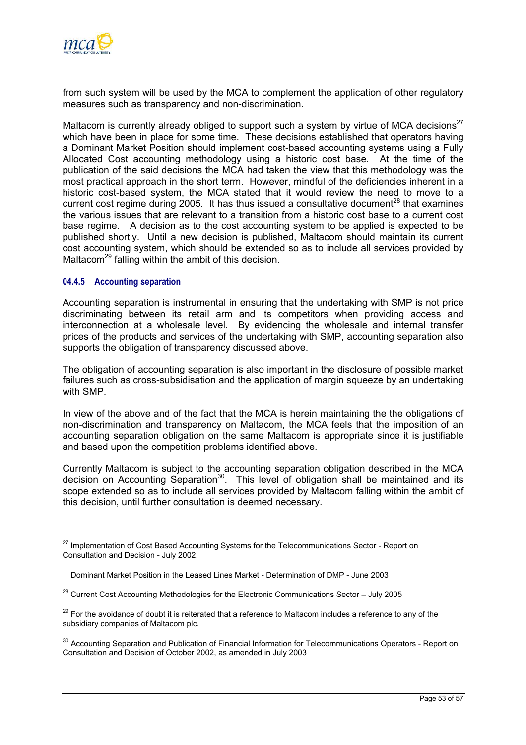

from such system will be used by the MCA to complement the application of other regulatory measures such as transparency and non-discrimination.

Maltacom is currently already obliged to support such a system by virtue of MCA decisions<sup>[27](#page-55-0)</sup> which have been in place for some time. These decisions established that operators having a Dominant Market Position should implement cost-based accounting systems using a Fully Allocated Cost accounting methodology using a historic cost base. At the time of the publication of the said decisions the MCA had taken the view that this methodology was the most practical approach in the short term. However, mindful of the deficiencies inherent in a historic cost-based system, the MCA stated that it would review the need to move to a current cost regime during 2005. It has thus issued a consultative document<sup>28</sup> that examines the various issues that are relevant to a transition from a historic cost base to a current cost base regime. A decision as to the cost accounting system to be applied is expected to be published shortly. Until a new decision is published, Maltacom should maintain its current cost accounting system, which should be extended so as to include all services provided by Maltacom<sup>29</sup> falling within the ambit of this decision.

#### **04.4.5 Accounting separation**

Accounting separation is instrumental in ensuring that the undertaking with SMP is not price discriminating between its retail arm and its competitors when providing access and interconnection at a wholesale level. By evidencing the wholesale and internal transfer prices of the products and services of the undertaking with SMP, accounting separation also supports the obligation of transparency discussed above.

The obligation of accounting separation is also important in the disclosure of possible market failures such as cross-subsidisation and the application of margin squeeze by an undertaking with SMP.

In view of the above and of the fact that the MCA is herein maintaining the the obligations of non-discrimination and transparency on Maltacom, the MCA feels that the imposition of an accounting separation obligation on the same Maltacom is appropriate since it is justifiable and based upon the competition problems identified above.

Currently Maltacom is subject to the accounting separation obligation described in the MCA  $decision$  on Accounting Separation<sup>30</sup>. This level of obligation shall be maintained and its scope extended so as to include all services provided by Maltacom falling within the ambit of this decision, until further consultation is deemed necessary.

<span id="page-55-0"></span><sup>&</sup>lt;sup>27</sup> Implementation of Cost Based Accounting Systems for the Telecommunications Sector - Report on Consultation and Decision - July 2002.

Dominant Market Position in the Leased Lines Market - Determination of DMP - June 2003

<span id="page-55-1"></span> $28$  Current Cost Accounting Methodologies for the Electronic Communications Sector – July 2005

<span id="page-55-2"></span><sup>&</sup>lt;sup>29</sup> For the avoidance of doubt it is reiterated that a reference to Maltacom includes a reference to any of the subsidiary companies of Maltacom plc.

<span id="page-55-3"></span><sup>&</sup>lt;sup>30</sup> Accounting Separation and Publication of Financial Information for Telecommunications Operators - Report on Consultation and Decision of October 2002, as amended in July 2003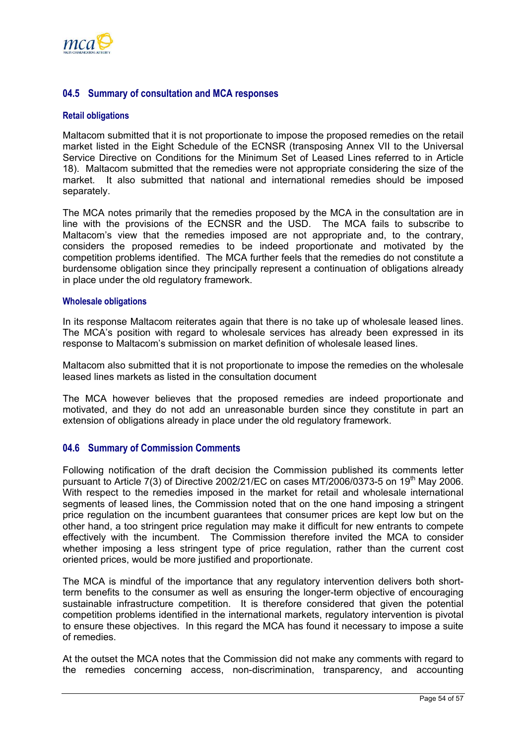<span id="page-56-0"></span>

## **04.5 Summary of consultation and MCA responses**

#### **Retail obligations**

Maltacom submitted that it is not proportionate to impose the proposed remedies on the retail market listed in the Eight Schedule of the ECNSR (transposing Annex VII to the Universal Service Directive on Conditions for the Minimum Set of Leased Lines referred to in Article 18). Maltacom submitted that the remedies were not appropriate considering the size of the market. It also submitted that national and international remedies should be imposed separately.

The MCA notes primarily that the remedies proposed by the MCA in the consultation are in line with the provisions of the ECNSR and the USD. The MCA fails to subscribe to Maltacom's view that the remedies imposed are not appropriate and, to the contrary, considers the proposed remedies to be indeed proportionate and motivated by the competition problems identified. The MCA further feels that the remedies do not constitute a burdensome obligation since they principally represent a continuation of obligations already in place under the old regulatory framework.

#### **Wholesale obligations**

In its response Maltacom reiterates again that there is no take up of wholesale leased lines. The MCA's position with regard to wholesale services has already been expressed in its response to Maltacom's submission on market definition of wholesale leased lines.

Maltacom also submitted that it is not proportionate to impose the remedies on the wholesale leased lines markets as listed in the consultation document

The MCA however believes that the proposed remedies are indeed proportionate and motivated, and they do not add an unreasonable burden since they constitute in part an extension of obligations already in place under the old regulatory framework.

#### **04.6 Summary of Commission Comments**

Following notification of the draft decision the Commission published its comments letter pursuant to Article 7(3) of Directive 2002/21/EC on cases MT/2006/0373-5 on 19th May 2006. With respect to the remedies imposed in the market for retail and wholesale international segments of leased lines, the Commission noted that on the one hand imposing a stringent price regulation on the incumbent guarantees that consumer prices are kept low but on the other hand, a too stringent price regulation may make it difficult for new entrants to compete effectively with the incumbent. The Commission therefore invited the MCA to consider whether imposing a less stringent type of price regulation, rather than the current cost oriented prices, would be more justified and proportionate.

The MCA is mindful of the importance that any regulatory intervention delivers both shortterm benefits to the consumer as well as ensuring the longer-term objective of encouraging sustainable infrastructure competition. It is therefore considered that given the potential competition problems identified in the international markets, regulatory intervention is pivotal to ensure these objectives. In this regard the MCA has found it necessary to impose a suite of remedies.

At the outset the MCA notes that the Commission did not make any comments with regard to the remedies concerning access, non-discrimination, transparency, and accounting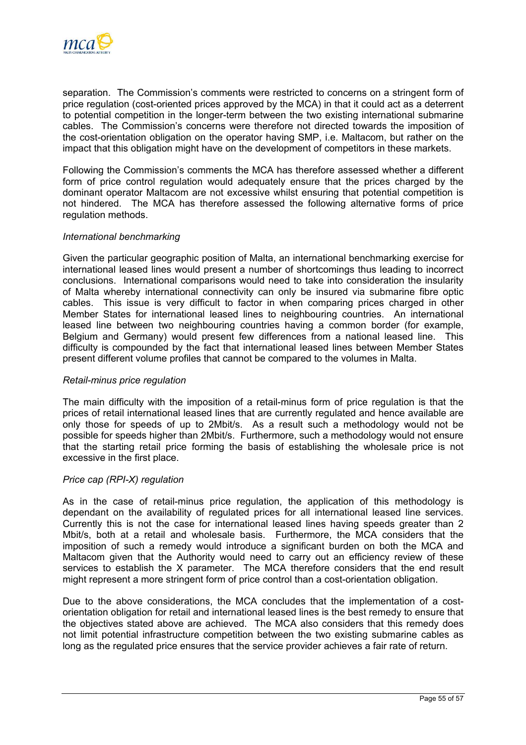

separation. The Commission's comments were restricted to concerns on a stringent form of price regulation (cost-oriented prices approved by the MCA) in that it could act as a deterrent to potential competition in the longer-term between the two existing international submarine cables. The Commission's concerns were therefore not directed towards the imposition of the cost-orientation obligation on the operator having SMP, i.e. Maltacom, but rather on the impact that this obligation might have on the development of competitors in these markets.

Following the Commission's comments the MCA has therefore assessed whether a different form of price control regulation would adequately ensure that the prices charged by the dominant operator Maltacom are not excessive whilst ensuring that potential competition is not hindered. The MCA has therefore assessed the following alternative forms of price regulation methods.

#### *International benchmarking*

Given the particular geographic position of Malta, an international benchmarking exercise for international leased lines would present a number of shortcomings thus leading to incorrect conclusions. International comparisons would need to take into consideration the insularity of Malta whereby international connectivity can only be insured via submarine fibre optic cables. This issue is very difficult to factor in when comparing prices charged in other Member States for international leased lines to neighbouring countries. An international leased line between two neighbouring countries having a common border (for example, Belgium and Germany) would present few differences from a national leased line. This difficulty is compounded by the fact that international leased lines between Member States present different volume profiles that cannot be compared to the volumes in Malta.

#### *Retail-minus price regulation*

The main difficulty with the imposition of a retail-minus form of price regulation is that the prices of retail international leased lines that are currently regulated and hence available are only those for speeds of up to 2Mbit/s. As a result such a methodology would not be possible for speeds higher than 2Mbit/s. Furthermore, such a methodology would not ensure that the starting retail price forming the basis of establishing the wholesale price is not excessive in the first place.

#### *Price cap (RPI-X) regulation*

As in the case of retail-minus price regulation, the application of this methodology is dependant on the availability of regulated prices for all international leased line services. Currently this is not the case for international leased lines having speeds greater than 2 Mbit/s, both at a retail and wholesale basis. Furthermore, the MCA considers that the imposition of such a remedy would introduce a significant burden on both the MCA and Maltacom given that the Authority would need to carry out an efficiency review of these services to establish the X parameter. The MCA therefore considers that the end result might represent a more stringent form of price control than a cost-orientation obligation.

Due to the above considerations, the MCA concludes that the implementation of a costorientation obligation for retail and international leased lines is the best remedy to ensure that the objectives stated above are achieved. The MCA also considers that this remedy does not limit potential infrastructure competition between the two existing submarine cables as long as the regulated price ensures that the service provider achieves a fair rate of return.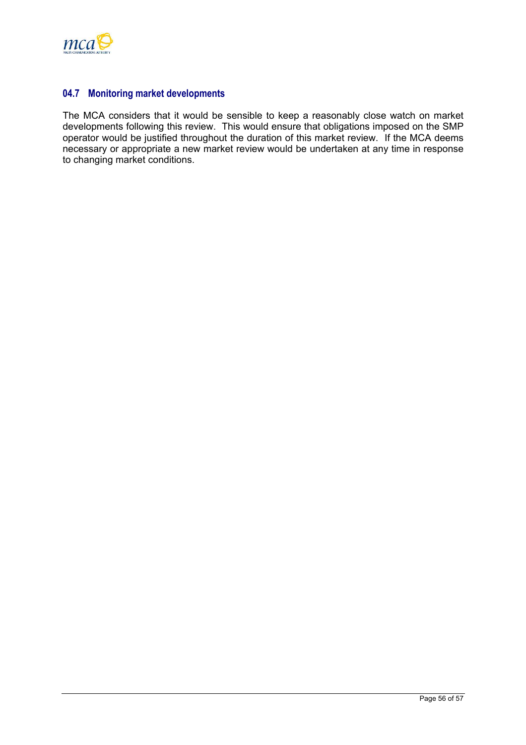<span id="page-58-0"></span>

## **04.7 Monitoring market developments**

The MCA considers that it would be sensible to keep a reasonably close watch on market developments following this review. This would ensure that obligations imposed on the SMP operator would be justified throughout the duration of this market review. If the MCA deems necessary or appropriate a new market review would be undertaken at any time in response to changing market conditions.